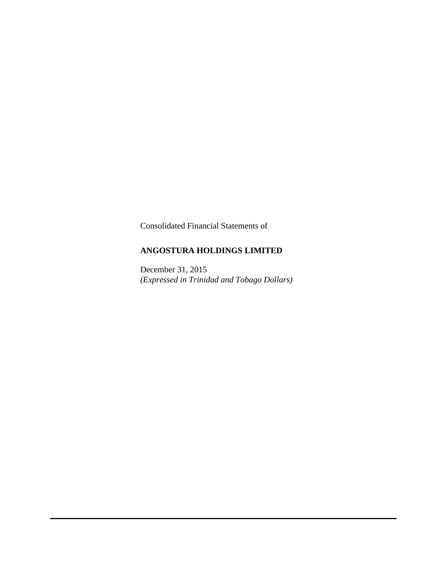Consolidated Financial Statements of

# **ANGOSTURA HOLDINGS LIMITED**

December 31, 2015 *(Expressed in Trinidad and Tobago Dollars)*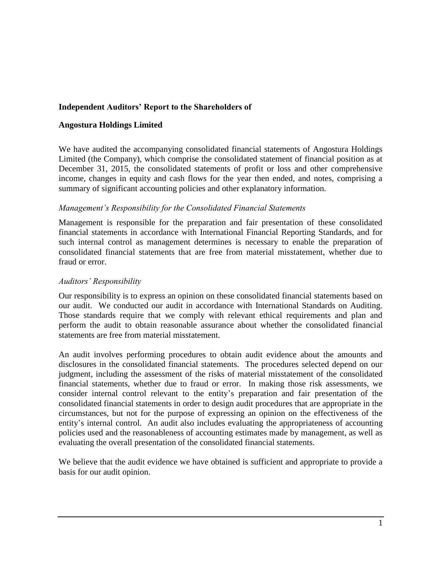# **Independent Auditors' Report to the Shareholders of**

### **Angostura Holdings Limited**

We have audited the accompanying consolidated financial statements of Angostura Holdings Limited (the Company), which comprise the consolidated statement of financial position as at December 31, 2015, the consolidated statements of profit or loss and other comprehensive income, changes in equity and cash flows for the year then ended, and notes, comprising a summary of significant accounting policies and other explanatory information.

### *Management's Responsibility for the Consolidated Financial Statements*

Management is responsible for the preparation and fair presentation of these consolidated financial statements in accordance with International Financial Reporting Standards, and for such internal control as management determines is necessary to enable the preparation of consolidated financial statements that are free from material misstatement, whether due to fraud or error.

### *Auditors' Responsibility*

Our responsibility is to express an opinion on these consolidated financial statements based on our audit. We conducted our audit in accordance with International Standards on Auditing. Those standards require that we comply with relevant ethical requirements and plan and perform the audit to obtain reasonable assurance about whether the consolidated financial statements are free from material misstatement.

An audit involves performing procedures to obtain audit evidence about the amounts and disclosures in the consolidated financial statements. The procedures selected depend on our judgment, including the assessment of the risks of material misstatement of the consolidated financial statements, whether due to fraud or error. In making those risk assessments, we consider internal control relevant to the entity's preparation and fair presentation of the consolidated financial statements in order to design audit procedures that are appropriate in the circumstances, but not for the purpose of expressing an opinion on the effectiveness of the entity's internal control. An audit also includes evaluating the appropriateness of accounting policies used and the reasonableness of accounting estimates made by management, as well as evaluating the overall presentation of the consolidated financial statements.

We believe that the audit evidence we have obtained is sufficient and appropriate to provide a basis for our audit opinion.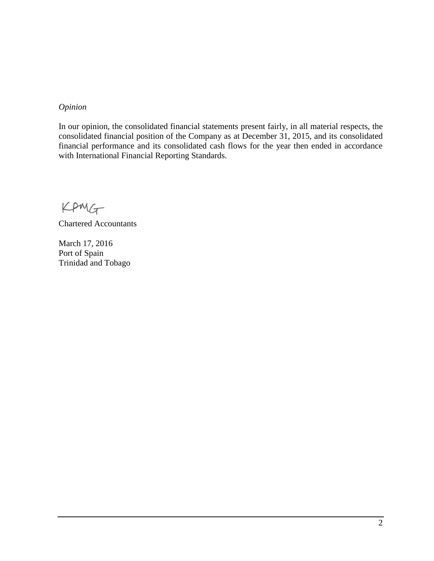# *Opinion*

In our opinion, the consolidated financial statements present fairly, in all material respects, the consolidated financial position of the Company as at December 31, 2015, and its consolidated financial performance and its consolidated cash flows for the year then ended in accordance with International Financial Reporting Standards.

KAMG

Chartered Accountants

March 17, 2016 Port of Spain Trinidad and Tobago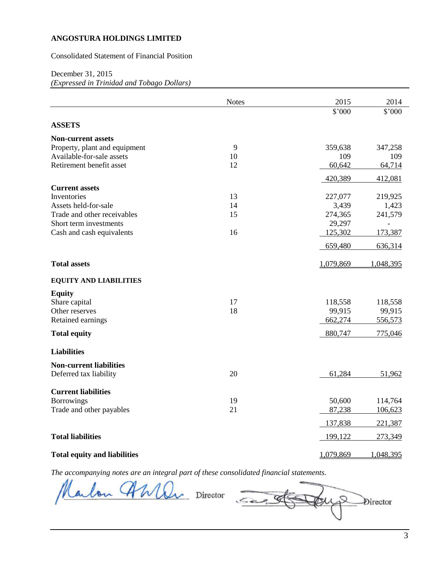#### Consolidated Statement of Financial Position

#### December 31, 2015 *(Expressed in Trinidad and Tobago Dollars)*

|                                     | <b>Notes</b> | 2015      | 2014      |
|-------------------------------------|--------------|-----------|-----------|
|                                     |              | \$'000    | \$'000    |
| <b>ASSETS</b>                       |              |           |           |
| <b>Non-current assets</b>           |              |           |           |
| Property, plant and equipment       | 9            | 359,638   | 347,258   |
| Available-for-sale assets           | 10           | 109       | 109       |
| Retirement benefit asset            | 12           | 60,642    | 64,714    |
|                                     |              | 420,389   | 412,081   |
| <b>Current assets</b>               |              |           |           |
| Inventories                         | 13           | 227,077   | 219,925   |
| Assets held-for-sale                | 14           | 3,439     | 1,423     |
| Trade and other receivables         | 15           | 274,365   | 241,579   |
| Short term investments              |              | 29,297    |           |
| Cash and cash equivalents           | 16           | 125,302   | 173,387   |
|                                     |              | 659,480   | 636,314   |
| <b>Total assets</b>                 |              | 1,079,869 | 1,048,395 |
| <b>EQUITY AND LIABILITIES</b>       |              |           |           |
| <b>Equity</b>                       |              |           |           |
| Share capital                       | 17           | 118,558   | 118,558   |
| Other reserves                      | 18           | 99,915    | 99,915    |
| Retained earnings                   |              | 662,274   | 556,573   |
| <b>Total equity</b>                 |              | 880,747   | 775,046   |
| <b>Liabilities</b>                  |              |           |           |
| <b>Non-current liabilities</b>      |              |           |           |
| Deferred tax liability              | 20           | 61,284    | 51,962    |
|                                     |              |           |           |
| <b>Current liabilities</b>          |              |           |           |
| <b>Borrowings</b>                   | 19           | 50,600    | 114,764   |
| Trade and other payables            | 21           | 87,238    | 106,623   |
|                                     |              | 137,838   | 221,387   |
| <b>Total liabilities</b>            |              | 199,122   | 273,349   |
| <b>Total equity and liabilities</b> |              | 1,079,869 | 1,048,395 |

Marlon AWON Director

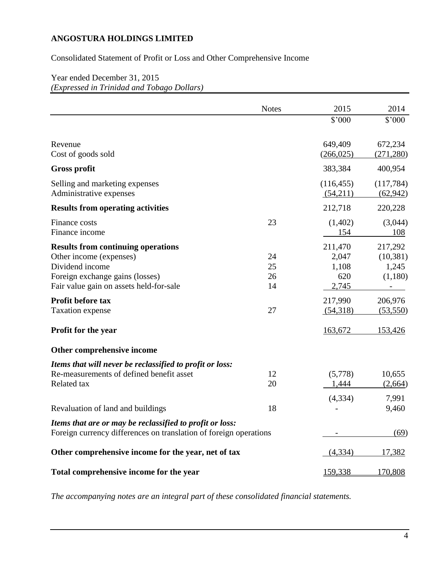Consolidated Statement of Profit or Loss and Other Comprehensive Income

# Year ended December 31, 2015 *(Expressed in Trinidad and Tobago Dollars)*

|                                                                                                                                                                       | <b>Notes</b>         | 2015                                      | 2014                                     |
|-----------------------------------------------------------------------------------------------------------------------------------------------------------------------|----------------------|-------------------------------------------|------------------------------------------|
|                                                                                                                                                                       |                      | \$'000                                    | \$'000                                   |
| Revenue<br>Cost of goods sold                                                                                                                                         |                      | 649,409<br>(266, 025)                     | 672,234<br>(271, 280)                    |
| <b>Gross profit</b>                                                                                                                                                   |                      | 383,384                                   | 400,954                                  |
| Selling and marketing expenses<br>Administrative expenses                                                                                                             |                      | (116, 455)<br>(54,211)                    | (117, 784)<br>(62, 942)                  |
| <b>Results from operating activities</b>                                                                                                                              |                      | 212,718                                   | 220,228                                  |
| Finance costs<br>Finance income                                                                                                                                       | 23                   | (1,402)<br>154                            | (3,044)<br>108                           |
| <b>Results from continuing operations</b><br>Other income (expenses)<br>Dividend income<br>Foreign exchange gains (losses)<br>Fair value gain on assets held-for-sale | 24<br>25<br>26<br>14 | 211,470<br>2,047<br>1,108<br>620<br>2,745 | 217,292<br>(10, 381)<br>1,245<br>(1,180) |
| Profit before tax<br>Taxation expense                                                                                                                                 | 27                   | 217,990<br>(54,318)                       | 206,976<br>(53, 550)                     |
| <b>Profit for the year</b>                                                                                                                                            |                      | 163,672                                   | 153,426                                  |
| Other comprehensive income                                                                                                                                            |                      |                                           |                                          |
| Items that will never be reclassified to profit or loss:<br>Re-measurements of defined benefit asset<br>Related tax                                                   | 12<br>20             | (5,778)<br>1,444<br>(4, 334)              | 10,655<br>(2,664)                        |
| Revaluation of land and buildings                                                                                                                                     | 18                   |                                           | 7,991<br>9,460                           |
| Items that are or may be reclassified to profit or loss:<br>Foreign currency differences on translation of foreign operations                                         |                      |                                           | (69)                                     |
| Other comprehensive income for the year, net of tax                                                                                                                   |                      | (4,334)                                   | <u>17,382</u>                            |
| Total comprehensive income for the year                                                                                                                               |                      | <u>159,338</u>                            | <u>170.808</u>                           |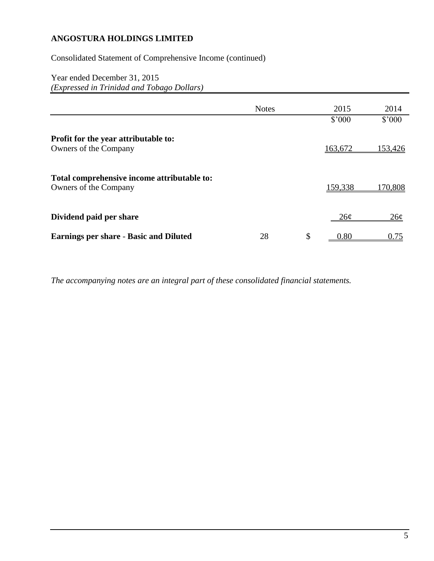Consolidated Statement of Comprehensive Income (continued)

# Year ended December 31, 2015 *(Expressed in Trinidad and Tobago Dollars)*

|                                                                      | <b>Notes</b> | 2015            | 2014            |
|----------------------------------------------------------------------|--------------|-----------------|-----------------|
|                                                                      |              | $$^{\prime}000$ | $$^{\prime}000$ |
| Profit for the year attributable to:<br>Owners of the Company        |              | 163,672         | 153,426         |
| Total comprehensive income attributable to:<br>Owners of the Company |              | 159,338         | 170,808         |
| Dividend paid per share                                              |              | 26¢             | 26 <sub>c</sub> |
| <b>Earnings per share - Basic and Diluted</b>                        | 28           | \$<br>0.80      | 0.75            |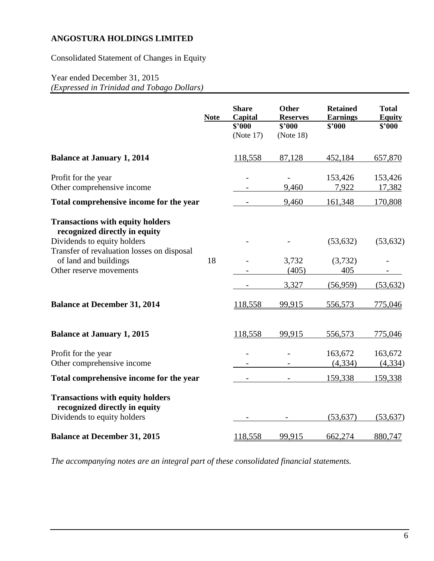Consolidated Statement of Changes in Equity

Year ended December 31, 2015 *(Expressed in Trinidad and Tobago Dollars)*

|                                                                                                                               | <b>Note</b> | <b>Share</b><br>Capital<br>\$2000<br>(Note 17) | <b>Other</b><br><b>Reserves</b><br>\$2000<br>(Note 18) | <b>Retained</b><br><b>Earnings</b><br>\$2000 | <b>Total</b><br><b>Equity</b><br>\$2000 |
|-------------------------------------------------------------------------------------------------------------------------------|-------------|------------------------------------------------|--------------------------------------------------------|----------------------------------------------|-----------------------------------------|
| <b>Balance at January 1, 2014</b>                                                                                             |             | 118,558                                        | 87,128                                                 | 452,184                                      | 657,870                                 |
| Profit for the year<br>Other comprehensive income                                                                             |             |                                                | 9,460                                                  | 153,426<br>7,922                             | 153,426<br>17,382                       |
| Total comprehensive income for the year                                                                                       |             |                                                | 9,460                                                  | 161,348                                      | 170,808                                 |
| <b>Transactions with equity holders</b><br>recognized directly in equity                                                      |             |                                                |                                                        |                                              |                                         |
| Dividends to equity holders<br>Transfer of revaluation losses on disposal<br>of land and buildings<br>Other reserve movements | 18          |                                                | 3,732<br>(405)                                         | (53, 632)<br>(3,732)<br>405                  | (53, 632)                               |
|                                                                                                                               |             |                                                | 3,327                                                  | (56,959)                                     | (53, 632)                               |
| <b>Balance at December 31, 2014</b>                                                                                           |             | 118,558                                        | 99,915                                                 | 556,573                                      | 775,046                                 |
| <b>Balance at January 1, 2015</b>                                                                                             |             | 118,558                                        | 99,915                                                 | 556,573                                      | 775,046                                 |
| Profit for the year<br>Other comprehensive income                                                                             |             |                                                |                                                        | 163,672<br>(4, 334)                          | 163,672<br>(4, 334)                     |
| Total comprehensive income for the year                                                                                       |             |                                                |                                                        | 159,338                                      | 159,338                                 |
| <b>Transactions with equity holders</b><br>recognized directly in equity                                                      |             |                                                |                                                        |                                              |                                         |
| Dividends to equity holders                                                                                                   |             |                                                |                                                        | (53, 637)                                    | (53, 637)                               |
| <b>Balance at December 31, 2015</b>                                                                                           |             | 118,558                                        | 99,915                                                 | 662,274                                      | 880,747                                 |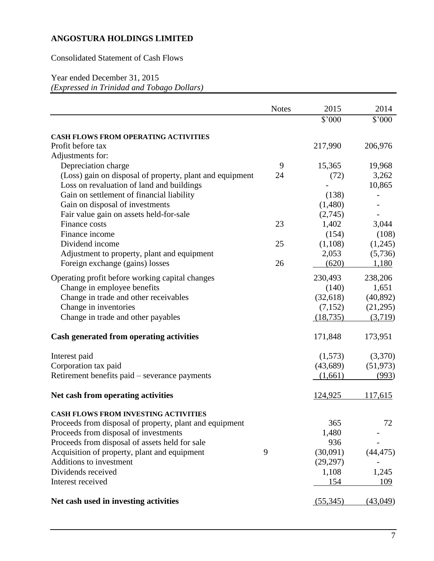# Consolidated Statement of Cash Flows

Year ended December 31, 2015 *(Expressed in Trinidad and Tobago Dollars)*

|                                                          | <b>Notes</b> | 2015      | 2014           |
|----------------------------------------------------------|--------------|-----------|----------------|
|                                                          |              | \$'000    | $$^{\circ}000$ |
| <b>CASH FLOWS FROM OPERATING ACTIVITIES</b>              |              |           |                |
| Profit before tax                                        |              | 217,990   | 206,976        |
| Adjustments for:                                         |              |           |                |
| Depreciation charge                                      | 9            | 15,365    | 19,968         |
| (Loss) gain on disposal of property, plant and equipment | 24           | (72)      | 3,262          |
| Loss on revaluation of land and buildings                |              |           | 10,865         |
| Gain on settlement of financial liability                |              | (138)     |                |
| Gain on disposal of investments                          |              | (1,480)   |                |
| Fair value gain on assets held-for-sale                  |              | (2,745)   |                |
| Finance costs                                            | 23           | 1,402     | 3,044          |
| Finance income                                           |              | (154)     | (108)          |
| Dividend income                                          | 25           | (1,108)   | (1,245)        |
| Adjustment to property, plant and equipment              |              | 2,053     | (5,736)        |
| Foreign exchange (gains) losses                          | 26           | (620)     | 1,180          |
| Operating profit before working capital changes          |              | 230,493   | 238,206        |
| Change in employee benefits                              |              | (140)     | 1,651          |
| Change in trade and other receivables                    |              | (32, 618) | (40, 892)      |
| Change in inventories                                    |              |           |                |
|                                                          |              | (7,152)   | (21,295)       |
| Change in trade and other payables                       |              | (18, 735) | (3,719)        |
| Cash generated from operating activities                 |              | 171,848   | 173,951        |
| Interest paid                                            |              | (1,573)   | (3,370)        |
| Corporation tax paid                                     |              | (43,689)  | (51, 973)      |
| Retirement benefits paid – severance payments            |              | (1,661)   | (993)          |
|                                                          |              |           |                |
| Net cash from operating activities                       |              | 124,925   | 117,615        |
| <b>CASH FLOWS FROM INVESTING ACTIVITIES</b>              |              |           |                |
| Proceeds from disposal of property, plant and equipment  |              | 365       | 72             |
| Proceeds from disposal of investments                    |              | 1,480     |                |
| Proceeds from disposal of assets held for sale           |              | 936       |                |
| Acquisition of property, plant and equipment             | 9            | (30,091)  | (44, 475)      |
| Additions to investment                                  |              | (29,297)  |                |
| Dividends received                                       |              | 1,108     | 1,245          |
| Interest received                                        |              | 154       | <u>109</u>     |
| Net cash used in investing activities                    |              |           |                |
|                                                          |              | (55,345)  | (43,049)       |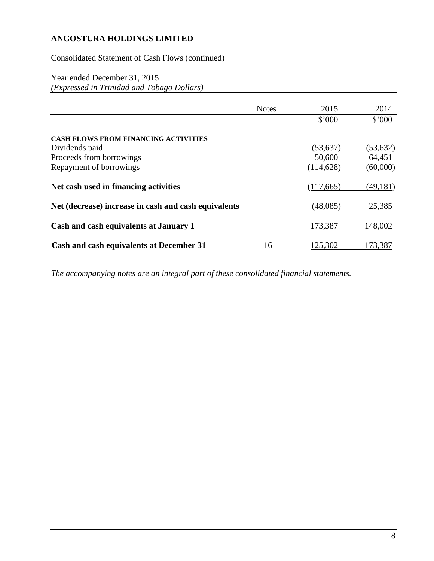Consolidated Statement of Cash Flows (continued)

# Year ended December 31, 2015 *(Expressed in Trinidad and Tobago Dollars)*

|                                                      | <b>Notes</b> | 2015           | 2014           |
|------------------------------------------------------|--------------|----------------|----------------|
|                                                      |              | $$^{\circ}000$ | $$^{\circ}000$ |
| <b>CASH FLOWS FROM FINANCING ACTIVITIES</b>          |              |                |                |
| Dividends paid                                       |              | (53, 637)      | (53, 632)      |
| Proceeds from borrowings                             |              | 50,600         | 64,451         |
| Repayment of borrowings                              |              | (114, 628)     | (60,000)       |
| Net cash used in financing activities                |              | (117,665)      | (49, 181)      |
| Net (decrease) increase in cash and cash equivalents |              | (48,085)       | 25,385         |
| Cash and cash equivalents at January 1               |              | 173,387        | 148,002        |
| <b>Cash and cash equivalents at December 31</b>      | 16           | 125,302        | 173,387        |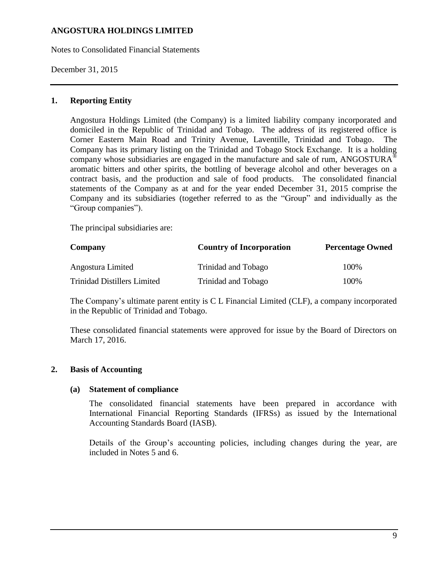Notes to Consolidated Financial Statements

December 31, 2015

### **1. Reporting Entity**

Angostura Holdings Limited (the Company) is a limited liability company incorporated and domiciled in the Republic of Trinidad and Tobago. The address of its registered office is Corner Eastern Main Road and Trinity Avenue, Laventille, Trinidad and Tobago. The Company has its primary listing on the Trinidad and Tobago Stock Exchange. It is a holding company whose subsidiaries are engaged in the manufacture and sale of rum, ANGOSTURA® aromatic bitters and other spirits, the bottling of beverage alcohol and other beverages on a contract basis, and the production and sale of food products. The consolidated financial statements of the Company as at and for the year ended December 31, 2015 comprise the Company and its subsidiaries (together referred to as the "Group" and individually as the "Group companies").

The principal subsidiaries are:

| Company                            | <b>Country of Incorporation</b> | <b>Percentage Owned</b> |
|------------------------------------|---------------------------------|-------------------------|
| Angostura Limited                  | Trinidad and Tobago             | 100\%                   |
| <b>Trinidad Distillers Limited</b> | Trinidad and Tobago             | 100\%                   |

The Company's ultimate parent entity is C L Financial Limited (CLF), a company incorporated in the Republic of Trinidad and Tobago.

These consolidated financial statements were approved for issue by the Board of Directors on March 17, 2016.

#### **2. Basis of Accounting**

#### **(a) Statement of compliance**

The consolidated financial statements have been prepared in accordance with International Financial Reporting Standards (IFRSs) as issued by the International Accounting Standards Board (IASB).

Details of the Group's accounting policies, including changes during the year, are included in Notes 5 and 6.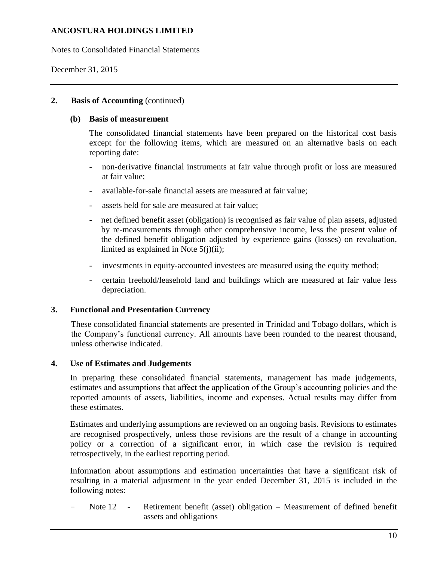Notes to Consolidated Financial Statements

December 31, 2015

### **2. Basis of Accounting** (continued)

### **(b) Basis of measurement**

The consolidated financial statements have been prepared on the historical cost basis except for the following items, which are measured on an alternative basis on each reporting date:

- non-derivative financial instruments at fair value through profit or loss are measured at fair value;
- available-for-sale financial assets are measured at fair value;
- assets held for sale are measured at fair value;
- net defined benefit asset (obligation) is recognised as fair value of plan assets, adjusted by re-measurements through other comprehensive income, less the present value of the defined benefit obligation adjusted by experience gains (losses) on revaluation, limited as explained in Note 5(j)(ii);
- investments in equity-accounted investees are measured using the equity method;
- certain freehold/leasehold land and buildings which are measured at fair value less depreciation.

# **3. Functional and Presentation Currency**

These consolidated financial statements are presented in Trinidad and Tobago dollars, which is the Company's functional currency. All amounts have been rounded to the nearest thousand, unless otherwise indicated.

# **4. Use of Estimates and Judgements**

In preparing these consolidated financial statements, management has made judgements, estimates and assumptions that affect the application of the Group's accounting policies and the reported amounts of assets, liabilities, income and expenses. Actual results may differ from these estimates.

Estimates and underlying assumptions are reviewed on an ongoing basis. Revisions to estimates are recognised prospectively, unless those revisions are the result of a change in accounting policy or a correction of a significant error, in which case the revision is required retrospectively, in the earliest reporting period.

Information about assumptions and estimation uncertainties that have a significant risk of resulting in a material adjustment in the year ended December 31, 2015 is included in the following notes:

- Note 12 - Retirement benefit (asset) obligation – Measurement of defined benefit assets and obligations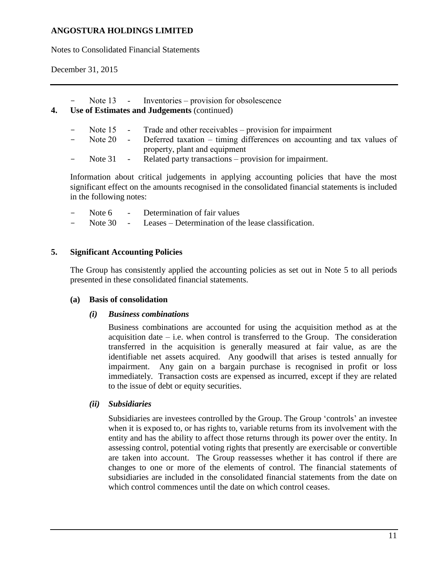Notes to Consolidated Financial Statements

December 31, 2015

Note 13 - Inventories – provision for obsolescence

## **4. Use of Estimates and Judgements** (continued)

- Note 15 Trade and other receivables provision for impairment
- Note 20 Deferred taxation timing differences on accounting and tax values of property, plant and equipment
- Note 31 Related party transactions provision for impairment.

Information about critical judgements in applying accounting policies that have the most significant effect on the amounts recognised in the consolidated financial statements is included in the following notes:

- Note 6 - Determination of fair values Note 30 - Leases – Determination of the lease classification.

### **5. Significant Accounting Policies**

The Group has consistently applied the accounting policies as set out in Note 5 to all periods presented in these consolidated financial statements.

#### **(a) Basis of consolidation**

#### *(i) Business combinations*

Business combinations are accounted for using the acquisition method as at the acquisition date  $-$  i.e. when control is transferred to the Group. The consideration transferred in the acquisition is generally measured at fair value, as are the identifiable net assets acquired. Any goodwill that arises is tested annually for impairment. Any gain on a bargain purchase is recognised in profit or loss immediately. Transaction costs are expensed as incurred, except if they are related to the issue of debt or equity securities.

#### *(ii) Subsidiaries*

Subsidiaries are investees controlled by the Group. The Group 'controls' an investee when it is exposed to, or has rights to, variable returns from its involvement with the entity and has the ability to affect those returns through its power over the entity. In assessing control, potential voting rights that presently are exercisable or convertible are taken into account. The Group reassesses whether it has control if there are changes to one or more of the elements of control. The financial statements of subsidiaries are included in the consolidated financial statements from the date on which control commences until the date on which control ceases.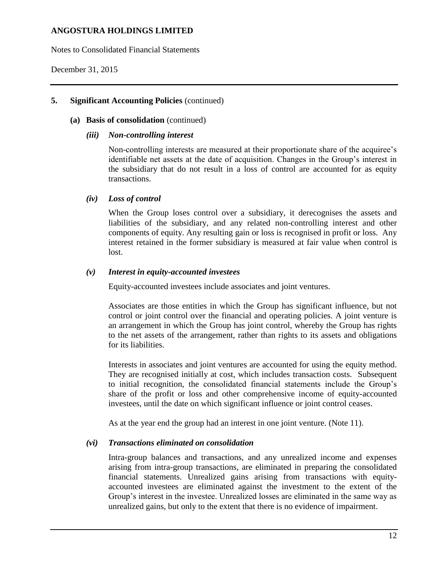Notes to Consolidated Financial Statements

December 31, 2015

### **5. Significant Accounting Policies** (continued)

#### **(a) Basis of consolidation** (continued)

### *(iii) Non-controlling interest*

Non-controlling interests are measured at their proportionate share of the acquiree's identifiable net assets at the date of acquisition. Changes in the Group's interest in the subsidiary that do not result in a loss of control are accounted for as equity transactions.

# *(iv) Loss of control*

When the Group loses control over a subsidiary, it derecognises the assets and liabilities of the subsidiary, and any related non-controlling interest and other components of equity. Any resulting gain or loss is recognised in profit or loss. Any interest retained in the former subsidiary is measured at fair value when control is lost.

### *(v) Interest in equity-accounted investees*

Equity-accounted investees include associates and joint ventures.

Associates are those entities in which the Group has significant influence, but not control or joint control over the financial and operating policies. A joint venture is an arrangement in which the Group has joint control, whereby the Group has rights to the net assets of the arrangement, rather than rights to its assets and obligations for its liabilities.

Interests in associates and joint ventures are accounted for using the equity method. They are recognised initially at cost, which includes transaction costs. Subsequent to initial recognition, the consolidated financial statements include the Group's share of the profit or loss and other comprehensive income of equity-accounted investees, until the date on which significant influence or joint control ceases.

As at the year end the group had an interest in one joint venture. (Note 11).

# *(vi) Transactions eliminated on consolidation*

Intra-group balances and transactions, and any unrealized income and expenses arising from intra-group transactions, are eliminated in preparing the consolidated financial statements. Unrealized gains arising from transactions with equityaccounted investees are eliminated against the investment to the extent of the Group's interest in the investee. Unrealized losses are eliminated in the same way as unrealized gains, but only to the extent that there is no evidence of impairment.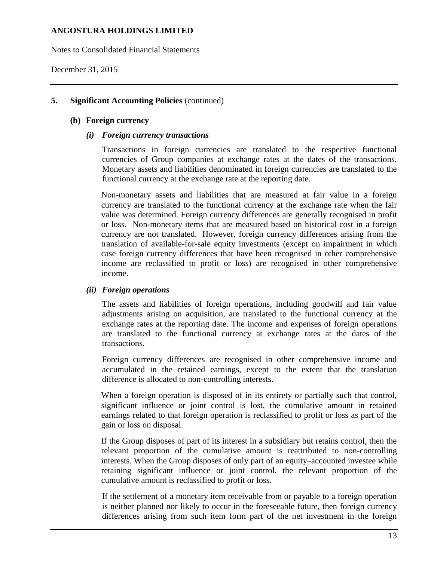Notes to Consolidated Financial Statements

December 31, 2015

### **5. Significant Accounting Policies** (continued)

#### **(b) Foreign currency**

*(i) Foreign currency transactions*

Transactions in foreign currencies are translated to the respective functional currencies of Group companies at exchange rates at the dates of the transactions. Monetary assets and liabilities denominated in foreign currencies are translated to the functional currency at the exchange rate at the reporting date.

Non-monetary assets and liabilities that are measured at fair value in a foreign currency are translated to the functional currency at the exchange rate when the fair value was determined. Foreign currency differences are generally recognised in profit or loss. Non-monetary items that are measured based on historical cost in a foreign currency are not translated. However, foreign currency differences arising from the translation of available-for-sale equity investments (except on impairment in which case foreign currency differences that have been recognised in other comprehensive income are reclassified to profit or loss) are recognised in other comprehensive income.

#### *(ii) Foreign operations*

The assets and liabilities of foreign operations, including goodwill and fair value adjustments arising on acquisition, are translated to the functional currency at the exchange rates at the reporting date. The income and expenses of foreign operations are translated to the functional currency at exchange rates at the dates of the transactions.

Foreign currency differences are recognised in other comprehensive income and accumulated in the retained earnings, except to the extent that the translation difference is allocated to non-controlling interests.

When a foreign operation is disposed of in its entirety or partially such that control, significant influence or joint control is lost, the cumulative amount in retained earnings related to that foreign operation is reclassified to profit or loss as part of the gain or loss on disposal.

If the Group disposes of part of its interest in a subsidiary but retains control, then the relevant proportion of the cumulative amount is reattributed to non-controlling interests. When the Group disposes of only part of an equity–accounted investee while retaining significant influence or joint control, the relevant proportion of the cumulative amount is reclassified to profit or loss.

If the settlement of a monetary item receivable from or payable to a foreign operation is neither planned nor likely to occur in the foreseeable future, then foreign currency differences arising from such item form part of the net investment in the foreign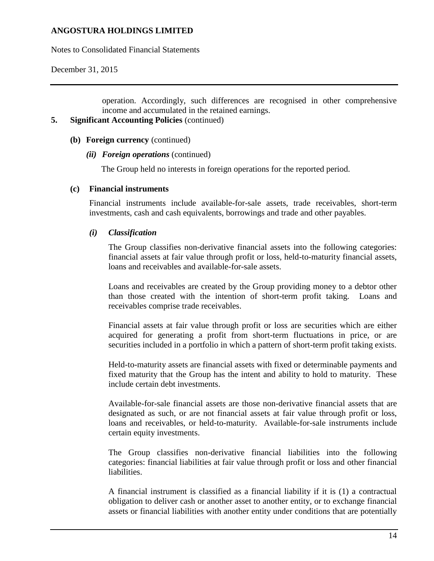Notes to Consolidated Financial Statements

December 31, 2015

operation. Accordingly, such differences are recognised in other comprehensive income and accumulated in the retained earnings.

#### **5. Significant Accounting Policies** (continued)

#### **(b) Foreign currency** (continued)

*(ii) Foreign operations* (continued)

The Group held no interests in foreign operations for the reported period.

#### **(c) Financial instruments**

Financial instruments include available-for-sale assets, trade receivables, short-term investments, cash and cash equivalents, borrowings and trade and other payables.

#### *(i) Classification*

The Group classifies non-derivative financial assets into the following categories: financial assets at fair value through profit or loss, held-to-maturity financial assets, loans and receivables and available-for-sale assets.

Loans and receivables are created by the Group providing money to a debtor other than those created with the intention of short-term profit taking. Loans and receivables comprise trade receivables.

Financial assets at fair value through profit or loss are securities which are either acquired for generating a profit from short-term fluctuations in price, or are securities included in a portfolio in which a pattern of short-term profit taking exists.

Held-to-maturity assets are financial assets with fixed or determinable payments and fixed maturity that the Group has the intent and ability to hold to maturity. These include certain debt investments.

Available-for-sale financial assets are those non-derivative financial assets that are designated as such, or are not financial assets at fair value through profit or loss, loans and receivables, or held-to-maturity. Available-for-sale instruments include certain equity investments.

The Group classifies non-derivative financial liabilities into the following categories: financial liabilities at fair value through profit or loss and other financial liabilities.

A financial instrument is classified as a financial liability if it is (1) a contractual obligation to deliver cash or another asset to another entity, or to exchange financial assets or financial liabilities with another entity under conditions that are potentially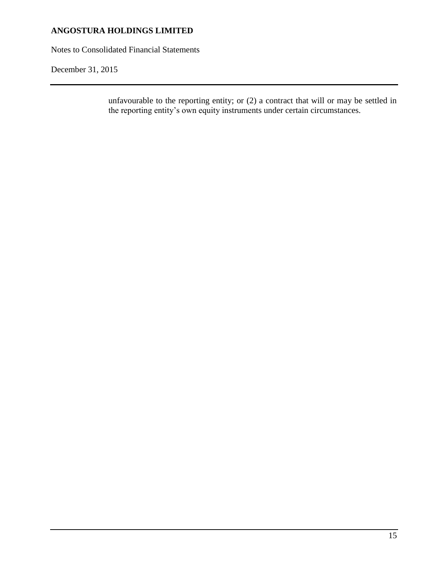Notes to Consolidated Financial Statements

December 31, 2015

unfavourable to the reporting entity; or (2) a contract that will or may be settled in the reporting entity's own equity instruments under certain circumstances.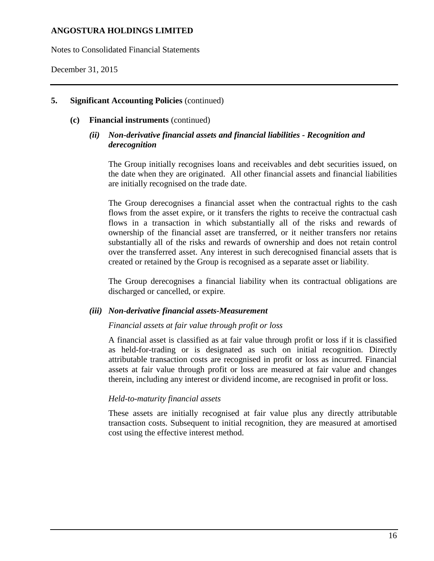Notes to Consolidated Financial Statements

December 31, 2015

#### **5. Significant Accounting Policies** (continued)

#### **(c) Financial instruments** (continued)

## *(ii) Non-derivative financial assets and financial liabilities - Recognition and derecognition*

The Group initially recognises loans and receivables and debt securities issued, on the date when they are originated. All other financial assets and financial liabilities are initially recognised on the trade date.

The Group derecognises a financial asset when the contractual rights to the cash flows from the asset expire, or it transfers the rights to receive the contractual cash flows in a transaction in which substantially all of the risks and rewards of ownership of the financial asset are transferred, or it neither transfers nor retains substantially all of the risks and rewards of ownership and does not retain control over the transferred asset. Any interest in such derecognised financial assets that is created or retained by the Group is recognised as a separate asset or liability.

The Group derecognises a financial liability when its contractual obligations are discharged or cancelled, or expire.

#### *(iii) Non-derivative financial assets-Measurement*

#### *Financial assets at fair value through profit or loss*

A financial asset is classified as at fair value through profit or loss if it is classified as held-for-trading or is designated as such on initial recognition. Directly attributable transaction costs are recognised in profit or loss as incurred. Financial assets at fair value through profit or loss are measured at fair value and changes therein, including any interest or dividend income, are recognised in profit or loss.

#### *Held-to-maturity financial assets*

These assets are initially recognised at fair value plus any directly attributable transaction costs. Subsequent to initial recognition, they are measured at amortised cost using the effective interest method.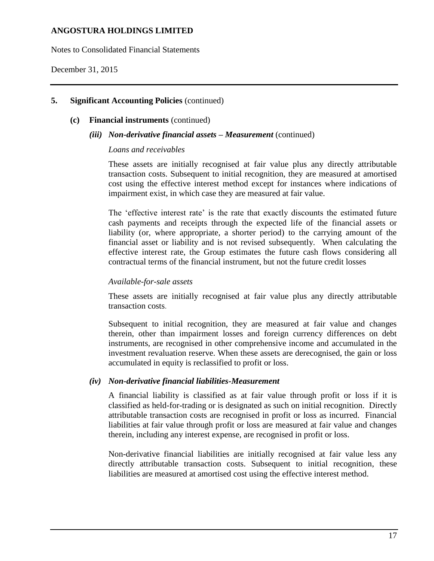Notes to Consolidated Financial Statements

December 31, 2015

### **5. Significant Accounting Policies** (continued)

### **(c) Financial instruments** (continued)

### *(iii) Non-derivative financial assets – Measurement* (continued)

#### *Loans and receivables*

These assets are initially recognised at fair value plus any directly attributable transaction costs. Subsequent to initial recognition, they are measured at amortised cost using the effective interest method except for instances where indications of impairment exist, in which case they are measured at fair value.

The 'effective interest rate' is the rate that exactly discounts the estimated future cash payments and receipts through the expected life of the financial assets or liability (or, where appropriate, a shorter period) to the carrying amount of the financial asset or liability and is not revised subsequently. When calculating the effective interest rate, the Group estimates the future cash flows considering all contractual terms of the financial instrument, but not the future credit losses

### *Available-for-sale assets*

These assets are initially recognised at fair value plus any directly attributable transaction costs.

Subsequent to initial recognition, they are measured at fair value and changes therein, other than impairment losses and foreign currency differences on debt instruments, are recognised in other comprehensive income and accumulated in the investment revaluation reserve. When these assets are derecognised, the gain or loss accumulated in equity is reclassified to profit or loss.

#### *(iv) Non-derivative financial liabilities-Measurement*

A financial liability is classified as at fair value through profit or loss if it is classified as held-for-trading or is designated as such on initial recognition. Directly attributable transaction costs are recognised in profit or loss as incurred. Financial liabilities at fair value through profit or loss are measured at fair value and changes therein, including any interest expense, are recognised in profit or loss.

Non-derivative financial liabilities are initially recognised at fair value less any directly attributable transaction costs. Subsequent to initial recognition, these liabilities are measured at amortised cost using the effective interest method.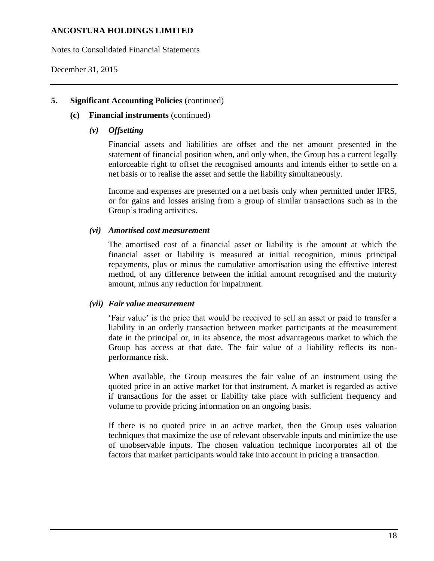Notes to Consolidated Financial Statements

December 31, 2015

### **5. Significant Accounting Policies** (continued)

#### **(c) Financial instruments** (continued)

#### *(v) Offsetting*

Financial assets and liabilities are offset and the net amount presented in the statement of financial position when, and only when, the Group has a current legally enforceable right to offset the recognised amounts and intends either to settle on a net basis or to realise the asset and settle the liability simultaneously.

Income and expenses are presented on a net basis only when permitted under IFRS, or for gains and losses arising from a group of similar transactions such as in the Group's trading activities.

#### *(vi) Amortised cost measurement*

The amortised cost of a financial asset or liability is the amount at which the financial asset or liability is measured at initial recognition, minus principal repayments, plus or minus the cumulative amortisation using the effective interest method, of any difference between the initial amount recognised and the maturity amount, minus any reduction for impairment.

#### *(vii) Fair value measurement*

'Fair value' is the price that would be received to sell an asset or paid to transfer a liability in an orderly transaction between market participants at the measurement date in the principal or, in its absence, the most advantageous market to which the Group has access at that date. The fair value of a liability reflects its nonperformance risk.

When available, the Group measures the fair value of an instrument using the quoted price in an active market for that instrument. A market is regarded as active if transactions for the asset or liability take place with sufficient frequency and volume to provide pricing information on an ongoing basis.

If there is no quoted price in an active market, then the Group uses valuation techniques that maximize the use of relevant observable inputs and minimize the use of unobservable inputs. The chosen valuation technique incorporates all of the factors that market participants would take into account in pricing a transaction.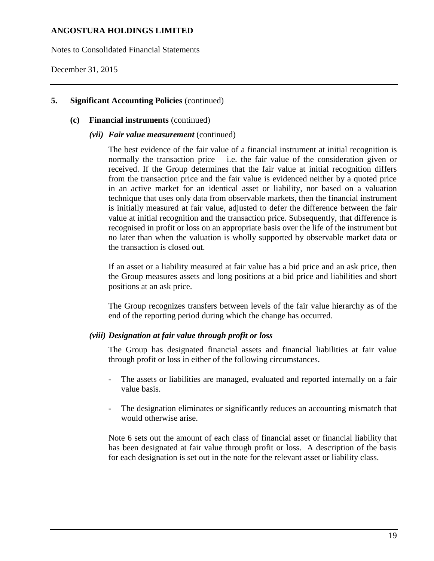Notes to Consolidated Financial Statements

December 31, 2015

#### **5. Significant Accounting Policies** (continued)

#### **(c) Financial instruments** (continued)

*(vii) Fair value measurement* (continued)

The best evidence of the fair value of a financial instrument at initial recognition is normally the transaction price  $-$  i.e. the fair value of the consideration given or received. If the Group determines that the fair value at initial recognition differs from the transaction price and the fair value is evidenced neither by a quoted price in an active market for an identical asset or liability, nor based on a valuation technique that uses only data from observable markets, then the financial instrument is initially measured at fair value, adjusted to defer the difference between the fair value at initial recognition and the transaction price. Subsequently, that difference is recognised in profit or loss on an appropriate basis over the life of the instrument but no later than when the valuation is wholly supported by observable market data or the transaction is closed out.

If an asset or a liability measured at fair value has a bid price and an ask price, then the Group measures assets and long positions at a bid price and liabilities and short positions at an ask price.

The Group recognizes transfers between levels of the fair value hierarchy as of the end of the reporting period during which the change has occurred.

#### *(viii) Designation at fair value through profit or loss*

The Group has designated financial assets and financial liabilities at fair value through profit or loss in either of the following circumstances.

- The assets or liabilities are managed, evaluated and reported internally on a fair value basis.
- The designation eliminates or significantly reduces an accounting mismatch that would otherwise arise.

Note 6 sets out the amount of each class of financial asset or financial liability that has been designated at fair value through profit or loss. A description of the basis for each designation is set out in the note for the relevant asset or liability class.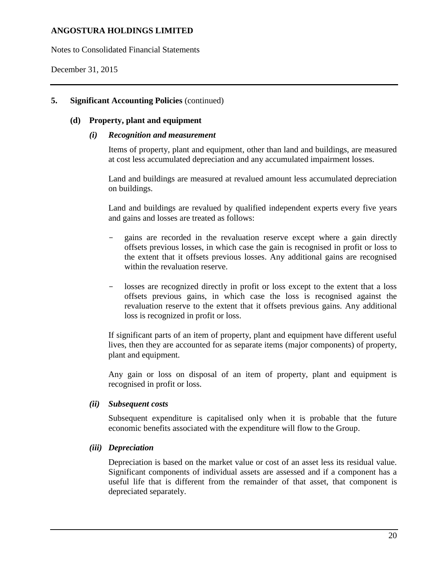Notes to Consolidated Financial Statements

December 31, 2015

### **5. Significant Accounting Policies** (continued)

### **(d) Property, plant and equipment**

### *(i) Recognition and measurement*

Items of property, plant and equipment, other than land and buildings, are measured at cost less accumulated depreciation and any accumulated impairment losses.

Land and buildings are measured at revalued amount less accumulated depreciation on buildings.

Land and buildings are revalued by qualified independent experts every five years and gains and losses are treated as follows:

- gains are recorded in the revaluation reserve except where a gain directly offsets previous losses, in which case the gain is recognised in profit or loss to the extent that it offsets previous losses. Any additional gains are recognised within the revaluation reserve.
- losses are recognized directly in profit or loss except to the extent that a loss offsets previous gains, in which case the loss is recognised against the revaluation reserve to the extent that it offsets previous gains. Any additional loss is recognized in profit or loss.

If significant parts of an item of property, plant and equipment have different useful lives, then they are accounted for as separate items (major components) of property, plant and equipment.

Any gain or loss on disposal of an item of property, plant and equipment is recognised in profit or loss.

#### *(ii) Subsequent costs*

Subsequent expenditure is capitalised only when it is probable that the future economic benefits associated with the expenditure will flow to the Group.

# *(iii) Depreciation*

Depreciation is based on the market value or cost of an asset less its residual value. Significant components of individual assets are assessed and if a component has a useful life that is different from the remainder of that asset, that component is depreciated separately.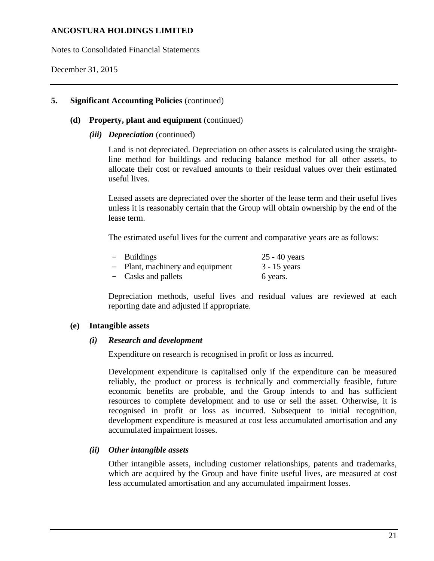Notes to Consolidated Financial Statements

December 31, 2015

### **5. Significant Accounting Policies** (continued)

### **(d) Property, plant and equipment** (continued)

*(iii) Depreciation* (continued)

Land is not depreciated. Depreciation on other assets is calculated using the straightline method for buildings and reducing balance method for all other assets, to allocate their cost or revalued amounts to their residual values over their estimated useful lives.

Leased assets are depreciated over the shorter of the lease term and their useful lives unless it is reasonably certain that the Group will obtain ownership by the end of the lease term.

The estimated useful lives for the current and comparative years are as follows:

| - Buildings                      | $25 - 40$ years |
|----------------------------------|-----------------|
| - Plant, machinery and equipment | $3 - 15$ years  |
| - Casks and pallets              | 6 years.        |

Depreciation methods, useful lives and residual values are reviewed at each reporting date and adjusted if appropriate.

# **(e) Intangible assets**

#### *(i) Research and development*

Expenditure on research is recognised in profit or loss as incurred.

Development expenditure is capitalised only if the expenditure can be measured reliably, the product or process is technically and commercially feasible, future economic benefits are probable, and the Group intends to and has sufficient resources to complete development and to use or sell the asset. Otherwise, it is recognised in profit or loss as incurred. Subsequent to initial recognition, development expenditure is measured at cost less accumulated amortisation and any accumulated impairment losses.

# *(ii) Other intangible assets*

Other intangible assets, including customer relationships, patents and trademarks, which are acquired by the Group and have finite useful lives, are measured at cost less accumulated amortisation and any accumulated impairment losses.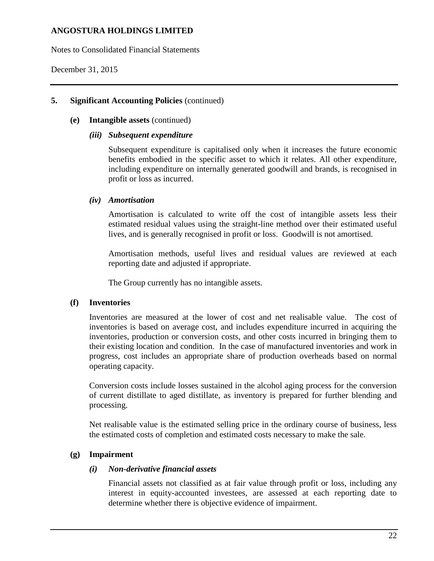Notes to Consolidated Financial Statements

December 31, 2015

### **5. Significant Accounting Policies** (continued)

### **(e) Intangible assets** (continued)

### *(iii) Subsequent expenditure*

Subsequent expenditure is capitalised only when it increases the future economic benefits embodied in the specific asset to which it relates. All other expenditure, including expenditure on internally generated goodwill and brands, is recognised in profit or loss as incurred.

### *(iv) Amortisation*

Amortisation is calculated to write off the cost of intangible assets less their estimated residual values using the straight-line method over their estimated useful lives, and is generally recognised in profit or loss. Goodwill is not amortised.

Amortisation methods, useful lives and residual values are reviewed at each reporting date and adjusted if appropriate.

The Group currently has no intangible assets.

# **(f) Inventories**

Inventories are measured at the lower of cost and net realisable value. The cost of inventories is based on average cost, and includes expenditure incurred in acquiring the inventories, production or conversion costs, and other costs incurred in bringing them to their existing location and condition. In the case of manufactured inventories and work in progress, cost includes an appropriate share of production overheads based on normal operating capacity.

Conversion costs include losses sustained in the alcohol aging process for the conversion of current distillate to aged distillate, as inventory is prepared for further blending and processing.

Net realisable value is the estimated selling price in the ordinary course of business, less the estimated costs of completion and estimated costs necessary to make the sale.

# **(g) Impairment**

# *(i) Non-derivative financial assets*

Financial assets not classified as at fair value through profit or loss, including any interest in equity-accounted investees, are assessed at each reporting date to determine whether there is objective evidence of impairment.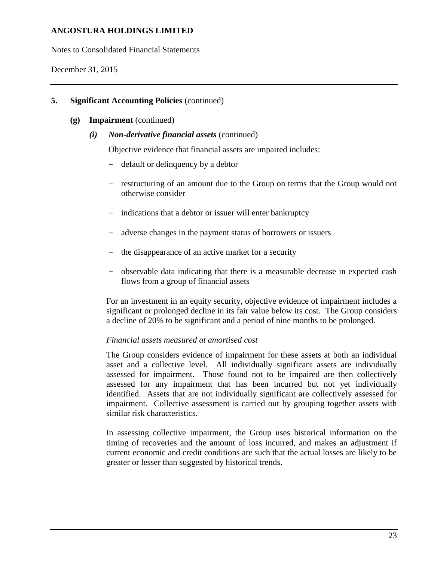Notes to Consolidated Financial Statements

December 31, 2015

### **5. Significant Accounting Policies** (continued)

### **(g) Impairment** (continued)

*(i) Non-derivative financial assets* (continued)

Objective evidence that financial assets are impaired includes:

- default or delinquency by a debtor
- restructuring of an amount due to the Group on terms that the Group would not otherwise consider
- indications that a debtor or issuer will enter bankruptcy
- adverse changes in the payment status of borrowers or issuers
- the disappearance of an active market for a security
- observable data indicating that there is a measurable decrease in expected cash flows from a group of financial assets

For an investment in an equity security, objective evidence of impairment includes a significant or prolonged decline in its fair value below its cost. The Group considers a decline of 20% to be significant and a period of nine months to be prolonged.

# *Financial assets measured at amortised cost*

The Group considers evidence of impairment for these assets at both an individual asset and a collective level. All individually significant assets are individually assessed for impairment. Those found not to be impaired are then collectively assessed for any impairment that has been incurred but not yet individually identified. Assets that are not individually significant are collectively assessed for impairment. Collective assessment is carried out by grouping together assets with similar risk characteristics.

In assessing collective impairment, the Group uses historical information on the timing of recoveries and the amount of loss incurred, and makes an adjustment if current economic and credit conditions are such that the actual losses are likely to be greater or lesser than suggested by historical trends.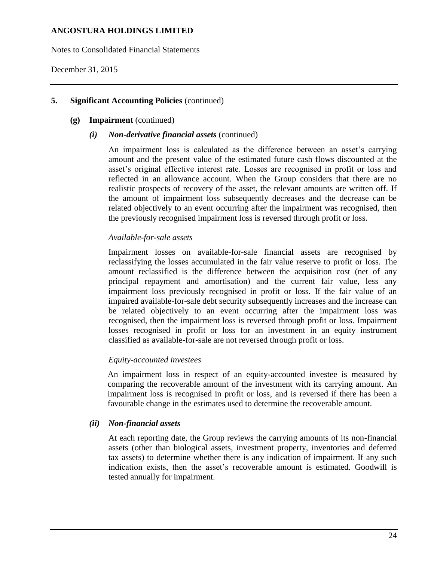Notes to Consolidated Financial Statements

December 31, 2015

### **5. Significant Accounting Policies** (continued)

### **(g) Impairment** (continued)

*(i) Non-derivative financial assets* (continued)

An impairment loss is calculated as the difference between an asset's carrying amount and the present value of the estimated future cash flows discounted at the asset's original effective interest rate. Losses are recognised in profit or loss and reflected in an allowance account. When the Group considers that there are no realistic prospects of recovery of the asset, the relevant amounts are written off. If the amount of impairment loss subsequently decreases and the decrease can be related objectively to an event occurring after the impairment was recognised, then the previously recognised impairment loss is reversed through profit or loss.

### *Available-for-sale assets*

Impairment losses on available-for-sale financial assets are recognised by reclassifying the losses accumulated in the fair value reserve to profit or loss. The amount reclassified is the difference between the acquisition cost (net of any principal repayment and amortisation) and the current fair value, less any impairment loss previously recognised in profit or loss. If the fair value of an impaired available-for-sale debt security subsequently increases and the increase can be related objectively to an event occurring after the impairment loss was recognised, then the impairment loss is reversed through profit or loss. Impairment losses recognised in profit or loss for an investment in an equity instrument classified as available-for-sale are not reversed through profit or loss.

# *Equity-accounted investees*

An impairment loss in respect of an equity-accounted investee is measured by comparing the recoverable amount of the investment with its carrying amount. An impairment loss is recognised in profit or loss, and is reversed if there has been a favourable change in the estimates used to determine the recoverable amount.

# *(ii) Non-financial assets*

At each reporting date, the Group reviews the carrying amounts of its non-financial assets (other than biological assets, investment property, inventories and deferred tax assets) to determine whether there is any indication of impairment. If any such indication exists, then the asset's recoverable amount is estimated. Goodwill is tested annually for impairment.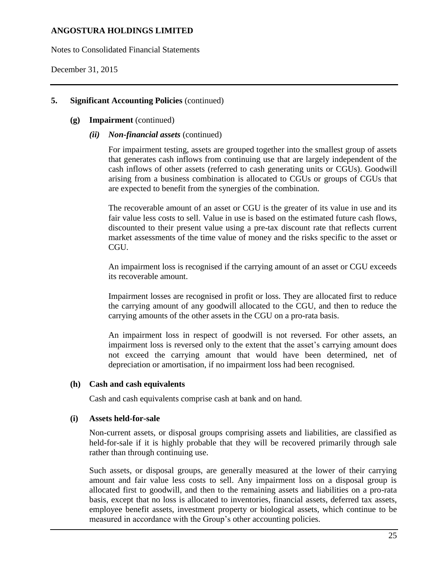Notes to Consolidated Financial Statements

December 31, 2015

### **5. Significant Accounting Policies** (continued)

### **(g) Impairment** (continued)

*(ii) Non-financial assets* (continued)

For impairment testing, assets are grouped together into the smallest group of assets that generates cash inflows from continuing use that are largely independent of the cash inflows of other assets (referred to cash generating units or CGUs). Goodwill arising from a business combination is allocated to CGUs or groups of CGUs that are expected to benefit from the synergies of the combination.

The recoverable amount of an asset or CGU is the greater of its value in use and its fair value less costs to sell. Value in use is based on the estimated future cash flows, discounted to their present value using a pre-tax discount rate that reflects current market assessments of the time value of money and the risks specific to the asset or CGU.

An impairment loss is recognised if the carrying amount of an asset or CGU exceeds its recoverable amount.

Impairment losses are recognised in profit or loss. They are allocated first to reduce the carrying amount of any goodwill allocated to the CGU, and then to reduce the carrying amounts of the other assets in the CGU on a pro-rata basis.

An impairment loss in respect of goodwill is not reversed. For other assets, an impairment loss is reversed only to the extent that the asset's carrying amount does not exceed the carrying amount that would have been determined, net of depreciation or amortisation, if no impairment loss had been recognised.

#### **(h) Cash and cash equivalents**

Cash and cash equivalents comprise cash at bank and on hand.

#### **(i) Assets held-for-sale**

Non-current assets, or disposal groups comprising assets and liabilities, are classified as held-for-sale if it is highly probable that they will be recovered primarily through sale rather than through continuing use.

Such assets, or disposal groups, are generally measured at the lower of their carrying amount and fair value less costs to sell. Any impairment loss on a disposal group is allocated first to goodwill, and then to the remaining assets and liabilities on a pro-rata basis, except that no loss is allocated to inventories, financial assets, deferred tax assets, employee benefit assets, investment property or biological assets, which continue to be measured in accordance with the Group's other accounting policies.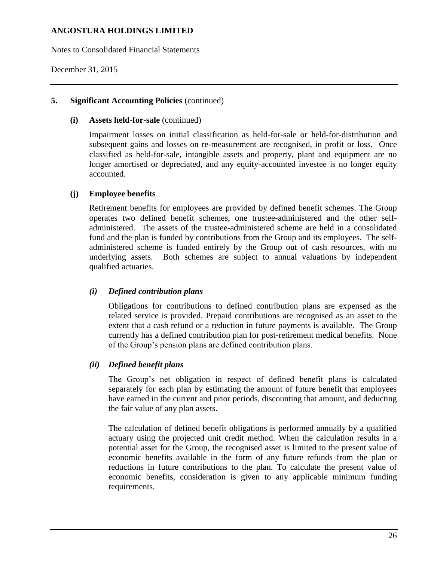Notes to Consolidated Financial Statements

December 31, 2015

### **5. Significant Accounting Policies** (continued)

### **(i) Assets held-for-sale** (continued)

Impairment losses on initial classification as held-for-sale or held-for-distribution and subsequent gains and losses on re-measurement are recognised, in profit or loss. Once classified as held-for-sale, intangible assets and property, plant and equipment are no longer amortised or depreciated, and any equity-accounted investee is no longer equity accounted.

# **(j) Employee benefits**

Retirement benefits for employees are provided by defined benefit schemes. The Group operates two defined benefit schemes, one trustee-administered and the other selfadministered. The assets of the trustee-administered scheme are held in a consolidated fund and the plan is funded by contributions from the Group and its employees. The selfadministered scheme is funded entirely by the Group out of cash resources, with no underlying assets. Both schemes are subject to annual valuations by independent qualified actuaries.

# *(i) Defined contribution plans*

Obligations for contributions to defined contribution plans are expensed as the related service is provided. Prepaid contributions are recognised as an asset to the extent that a cash refund or a reduction in future payments is available. The Group currently has a defined contribution plan for post-retirement medical benefits. None of the Group's pension plans are defined contribution plans.

# *(ii) Defined benefit plans*

The Group's net obligation in respect of defined benefit plans is calculated separately for each plan by estimating the amount of future benefit that employees have earned in the current and prior periods, discounting that amount, and deducting the fair value of any plan assets.

The calculation of defined benefit obligations is performed annually by a qualified actuary using the projected unit credit method. When the calculation results in a potential asset for the Group, the recognised asset is limited to the present value of economic benefits available in the form of any future refunds from the plan or reductions in future contributions to the plan. To calculate the present value of economic benefits, consideration is given to any applicable minimum funding requirements.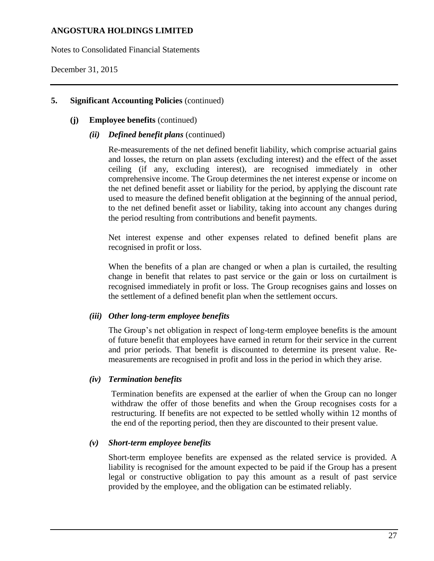Notes to Consolidated Financial Statements

December 31, 2015

## **5. Significant Accounting Policies** (continued)

### **(j) Employee benefits** (continued)

*(ii) Defined benefit plans* (continued)

Re-measurements of the net defined benefit liability, which comprise actuarial gains and losses, the return on plan assets (excluding interest) and the effect of the asset ceiling (if any, excluding interest), are recognised immediately in other comprehensive income. The Group determines the net interest expense or income on the net defined benefit asset or liability for the period, by applying the discount rate used to measure the defined benefit obligation at the beginning of the annual period, to the net defined benefit asset or liability, taking into account any changes during the period resulting from contributions and benefit payments.

Net interest expense and other expenses related to defined benefit plans are recognised in profit or loss.

When the benefits of a plan are changed or when a plan is curtailed, the resulting change in benefit that relates to past service or the gain or loss on curtailment is recognised immediately in profit or loss. The Group recognises gains and losses on the settlement of a defined benefit plan when the settlement occurs.

#### *(iii) Other long-term employee benefits*

The Group's net obligation in respect of long-term employee benefits is the amount of future benefit that employees have earned in return for their service in the current and prior periods. That benefit is discounted to determine its present value. Remeasurements are recognised in profit and loss in the period in which they arise.

# *(iv) Termination benefits*

Termination benefits are expensed at the earlier of when the Group can no longer withdraw the offer of those benefits and when the Group recognises costs for a restructuring. If benefits are not expected to be settled wholly within 12 months of the end of the reporting period, then they are discounted to their present value.

# *(v) Short-term employee benefits*

Short-term employee benefits are expensed as the related service is provided. A liability is recognised for the amount expected to be paid if the Group has a present legal or constructive obligation to pay this amount as a result of past service provided by the employee, and the obligation can be estimated reliably.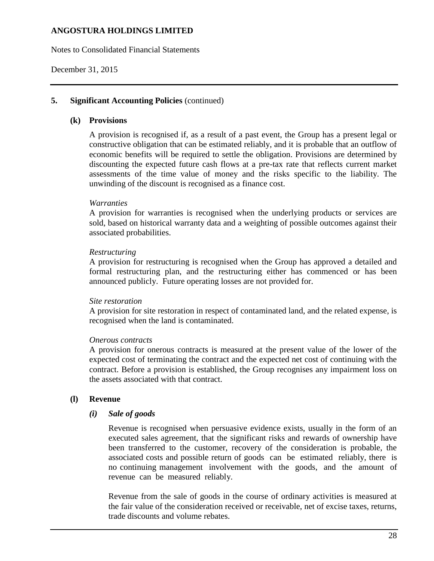Notes to Consolidated Financial Statements

December 31, 2015

## **5. Significant Accounting Policies** (continued)

#### **(k) Provisions**

A provision is recognised if, as a result of a past event, the Group has a present legal or constructive obligation that can be estimated reliably, and it is probable that an outflow of economic benefits will be required to settle the obligation. Provisions are determined by discounting the expected future cash flows at a pre-tax rate that reflects current market assessments of the time value of money and the risks specific to the liability. The unwinding of the discount is recognised as a finance cost.

### *Warranties*

A provision for warranties is recognised when the underlying products or services are sold, based on historical warranty data and a weighting of possible outcomes against their associated probabilities.

### *Restructuring*

A provision for restructuring is recognised when the Group has approved a detailed and formal restructuring plan, and the restructuring either has commenced or has been announced publicly. Future operating losses are not provided for.

#### *Site restoration*

A provision for site restoration in respect of contaminated land, and the related expense, is recognised when the land is contaminated.

# *Onerous contracts*

A provision for onerous contracts is measured at the present value of the lower of the expected cost of terminating the contract and the expected net cost of continuing with the contract. Before a provision is established, the Group recognises any impairment loss on the assets associated with that contract.

# **(l) Revenue**

# *(i) Sale of goods*

Revenue is recognised when persuasive evidence exists, usually in the form of an executed sales agreement, that the significant risks and rewards of ownership have been transferred to the customer, recovery of the consideration is probable, the associated costs and possible return of goods can be estimated reliably, there is no continuing management involvement with the goods, and the amount of revenue can be measured reliably.

Revenue from the sale of goods in the course of ordinary activities is measured at the fair value of the consideration received or receivable, net of excise taxes, returns, trade discounts and volume rebates.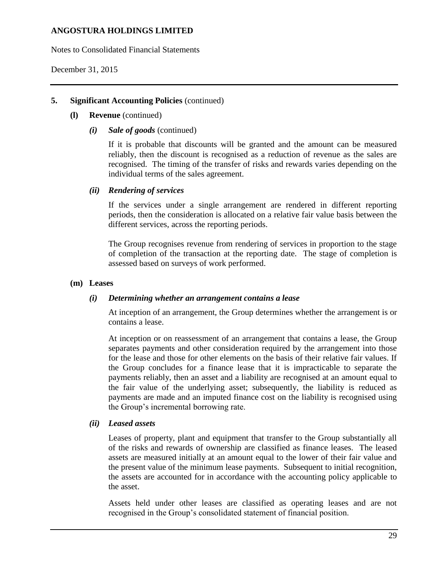Notes to Consolidated Financial Statements

December 31, 2015

# **5. Significant Accounting Policies** (continued)

# **(l) Revenue** (continued)

*(i) Sale of goods* (continued)

If it is probable that discounts will be granted and the amount can be measured reliably, then the discount is recognised as a reduction of revenue as the sales are recognised. The timing of the transfer of risks and rewards varies depending on the individual terms of the sales agreement.

# *(ii) Rendering of services*

If the services under a single arrangement are rendered in different reporting periods, then the consideration is allocated on a relative fair value basis between the different services, across the reporting periods.

The Group recognises revenue from rendering of services in proportion to the stage of completion of the transaction at the reporting date. The stage of completion is assessed based on surveys of work performed.

## **(m) Leases**

# *(i) Determining whether an arrangement contains a lease*

At inception of an arrangement, the Group determines whether the arrangement is or contains a lease.

At inception or on reassessment of an arrangement that contains a lease, the Group separates payments and other consideration required by the arrangement into those for the lease and those for other elements on the basis of their relative fair values. If the Group concludes for a finance lease that it is impracticable to separate the payments reliably, then an asset and a liability are recognised at an amount equal to the fair value of the underlying asset; subsequently, the liability is reduced as payments are made and an imputed finance cost on the liability is recognised using the Group's incremental borrowing rate.

# *(ii) Leased assets*

Leases of property, plant and equipment that transfer to the Group substantially all of the risks and rewards of ownership are classified as finance leases. The leased assets are measured initially at an amount equal to the lower of their fair value and the present value of the minimum lease payments. Subsequent to initial recognition, the assets are accounted for in accordance with the accounting policy applicable to the asset.

Assets held under other leases are classified as operating leases and are not recognised in the Group's consolidated statement of financial position.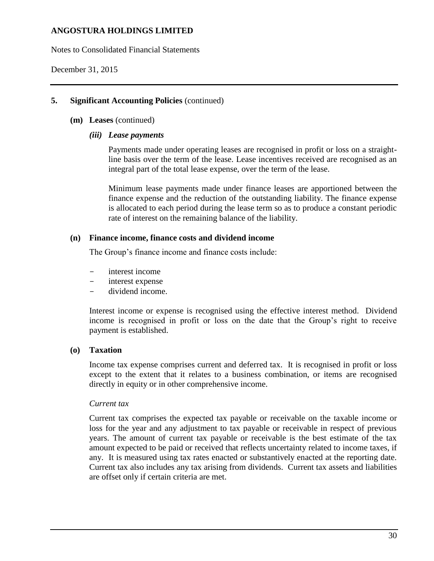Notes to Consolidated Financial Statements

December 31, 2015

### **5. Significant Accounting Policies** (continued)

- **(m) Leases** (continued)
	- *(iii) Lease payments*

Payments made under operating leases are recognised in profit or loss on a straightline basis over the term of the lease. Lease incentives received are recognised as an integral part of the total lease expense, over the term of the lease.

Minimum lease payments made under finance leases are apportioned between the finance expense and the reduction of the outstanding liability. The finance expense is allocated to each period during the lease term so as to produce a constant periodic rate of interest on the remaining balance of the liability.

### **(n) Finance income, finance costs and dividend income**

The Group's finance income and finance costs include:

- interest income
- interest expense
- dividend income.

Interest income or expense is recognised using the effective interest method. Dividend income is recognised in profit or loss on the date that the Group's right to receive payment is established.

# **(o) Taxation**

Income tax expense comprises current and deferred tax. It is recognised in profit or loss except to the extent that it relates to a business combination, or items are recognised directly in equity or in other comprehensive income.

# *Current tax*

Current tax comprises the expected tax payable or receivable on the taxable income or loss for the year and any adjustment to tax payable or receivable in respect of previous years. The amount of current tax payable or receivable is the best estimate of the tax amount expected to be paid or received that reflects uncertainty related to income taxes, if any. It is measured using tax rates enacted or substantively enacted at the reporting date. Current tax also includes any tax arising from dividends. Current tax assets and liabilities are offset only if certain criteria are met.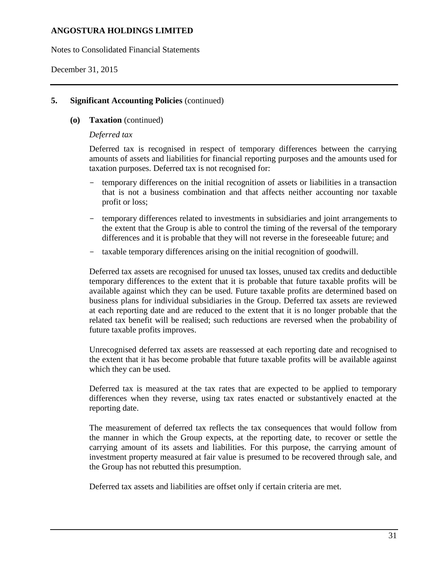Notes to Consolidated Financial Statements

December 31, 2015

### **5. Significant Accounting Policies** (continued)

### **(o) Taxation** (continued)

### *Deferred tax*

Deferred tax is recognised in respect of temporary differences between the carrying amounts of assets and liabilities for financial reporting purposes and the amounts used for taxation purposes. Deferred tax is not recognised for:

- temporary differences on the initial recognition of assets or liabilities in a transaction that is not a business combination and that affects neither accounting nor taxable profit or loss;
- temporary differences related to investments in subsidiaries and joint arrangements to the extent that the Group is able to control the timing of the reversal of the temporary differences and it is probable that they will not reverse in the foreseeable future; and
- taxable temporary differences arising on the initial recognition of goodwill.

Deferred tax assets are recognised for unused tax losses, unused tax credits and deductible temporary differences to the extent that it is probable that future taxable profits will be available against which they can be used. Future taxable profits are determined based on business plans for individual subsidiaries in the Group. Deferred tax assets are reviewed at each reporting date and are reduced to the extent that it is no longer probable that the related tax benefit will be realised; such reductions are reversed when the probability of future taxable profits improves.

Unrecognised deferred tax assets are reassessed at each reporting date and recognised to the extent that it has become probable that future taxable profits will be available against which they can be used.

Deferred tax is measured at the tax rates that are expected to be applied to temporary differences when they reverse, using tax rates enacted or substantively enacted at the reporting date.

The measurement of deferred tax reflects the tax consequences that would follow from the manner in which the Group expects, at the reporting date, to recover or settle the carrying amount of its assets and liabilities. For this purpose, the carrying amount of investment property measured at fair value is presumed to be recovered through sale, and the Group has not rebutted this presumption.

Deferred tax assets and liabilities are offset only if certain criteria are met.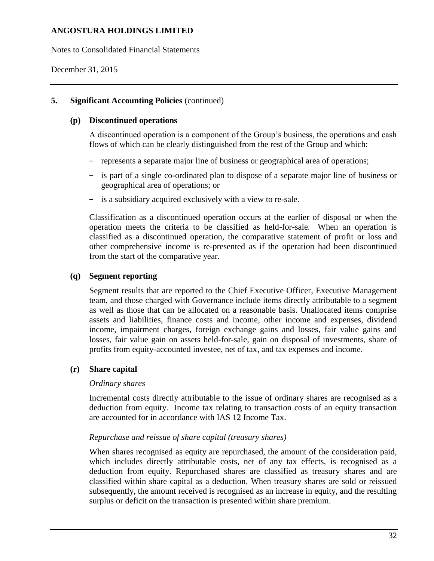Notes to Consolidated Financial Statements

December 31, 2015

## **5. Significant Accounting Policies** (continued)

### **(p) Discontinued operations**

A discontinued operation is a component of the Group's business, the operations and cash flows of which can be clearly distinguished from the rest of the Group and which:

- represents a separate major line of business or geographical area of operations;
- is part of a single co-ordinated plan to dispose of a separate major line of business or geographical area of operations; or
- is a subsidiary acquired exclusively with a view to re-sale.

Classification as a discontinued operation occurs at the earlier of disposal or when the operation meets the criteria to be classified as held-for-sale. When an operation is classified as a discontinued operation, the comparative statement of profit or loss and other comprehensive income is re-presented as if the operation had been discontinued from the start of the comparative year.

## **(q) Segment reporting**

Segment results that are reported to the Chief Executive Officer, Executive Management team, and those charged with Governance include items directly attributable to a segment as well as those that can be allocated on a reasonable basis. Unallocated items comprise assets and liabilities, finance costs and income, other income and expenses, dividend income, impairment charges, foreign exchange gains and losses, fair value gains and losses, fair value gain on assets held-for-sale, gain on disposal of investments, share of profits from equity-accounted investee, net of tax, and tax expenses and income.

# **(r) Share capital**

#### *Ordinary shares*

Incremental costs directly attributable to the issue of ordinary shares are recognised as a deduction from equity. Income tax relating to transaction costs of an equity transaction are accounted for in accordance with IAS 12 Income Tax.

# *Repurchase and reissue of share capital (treasury shares)*

When shares recognised as equity are repurchased, the amount of the consideration paid, which includes directly attributable costs, net of any tax effects, is recognised as a deduction from equity. Repurchased shares are classified as treasury shares and are classified within share capital as a deduction. When treasury shares are sold or reissued subsequently, the amount received is recognised as an increase in equity, and the resulting surplus or deficit on the transaction is presented within share premium.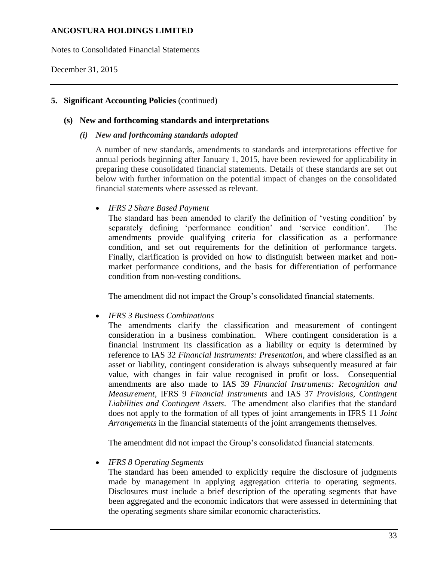Notes to Consolidated Financial Statements

December 31, 2015

### **5. Significant Accounting Policies** (continued)

### **(s) New and forthcoming standards and interpretations**

*(i) New and forthcoming standards adopted*

A number of new standards, amendments to standards and interpretations effective for annual periods beginning after January 1, 2015, have been reviewed for applicability in preparing these consolidated financial statements. Details of these standards are set out below with further information on the potential impact of changes on the consolidated financial statements where assessed as relevant.

# *IFRS 2 Share Based Payment*

The standard has been amended to clarify the definition of 'vesting condition' by separately defining 'performance condition' and 'service condition'. The amendments provide qualifying criteria for classification as a performance condition, and set out requirements for the definition of performance targets. Finally, clarification is provided on how to distinguish between market and nonmarket performance conditions, and the basis for differentiation of performance condition from non-vesting conditions.

The amendment did not impact the Group's consolidated financial statements.

*IFRS 3 Business Combinations*

The amendments clarify the classification and measurement of contingent consideration in a business combination. Where contingent consideration is a financial instrument its classification as a liability or equity is determined by reference to IAS 32 *Financial Instruments: Presentation*, and where classified as an asset or liability, contingent consideration is always subsequently measured at fair value, with changes in fair value recognised in profit or loss. Consequential amendments are also made to IAS 39 *Financial Instruments: Recognition and Measurement*, IFRS 9 *Financial Instruments* and IAS 37 *Provisions, Contingent Liabilities and Contingent Assets*. The amendment also clarifies that the standard does not apply to the formation of all types of joint arrangements in IFRS 11 *Joint Arrangements* in the financial statements of the joint arrangements themselves.

The amendment did not impact the Group's consolidated financial statements.

*IFRS 8 Operating Segments*

The standard has been amended to explicitly require the disclosure of judgments made by management in applying aggregation criteria to operating segments. Disclosures must include a brief description of the operating segments that have been aggregated and the economic indicators that were assessed in determining that the operating segments share similar economic characteristics.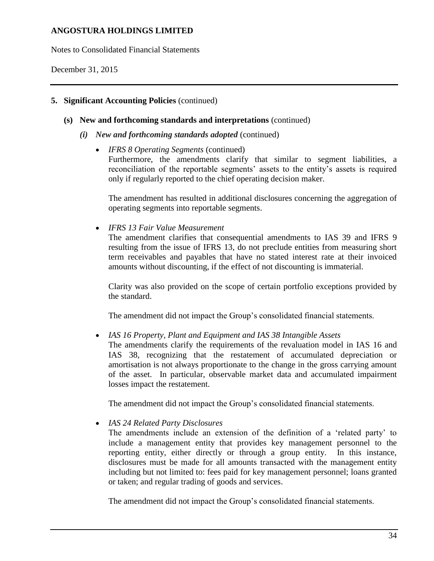Notes to Consolidated Financial Statements

December 31, 2015

### **5. Significant Accounting Policies** (continued)

#### **(s) New and forthcoming standards and interpretations** (continued)

- *(i) New and forthcoming standards adopted* (continued)
	- *IFRS 8 Operating Segments* (continued) Furthermore, the amendments clarify that similar to segment liabilities, a reconciliation of the reportable segments' assets to the entity's assets is required only if regularly reported to the chief operating decision maker.

The amendment has resulted in additional disclosures concerning the aggregation of operating segments into reportable segments.

*IFRS 13 Fair Value Measurement*

The amendment clarifies that consequential amendments to IAS 39 and IFRS 9 resulting from the issue of IFRS 13, do not preclude entities from measuring short term receivables and payables that have no stated interest rate at their invoiced amounts without discounting, if the effect of not discounting is immaterial.

Clarity was also provided on the scope of certain portfolio exceptions provided by the standard.

The amendment did not impact the Group's consolidated financial statements.

*IAS 16 Property, Plant and Equipment and IAS 38 Intangible Assets*

The amendments clarify the requirements of the revaluation model in IAS 16 and IAS 38, recognizing that the restatement of accumulated depreciation or amortisation is not always proportionate to the change in the gross carrying amount of the asset. In particular, observable market data and accumulated impairment losses impact the restatement.

The amendment did not impact the Group's consolidated financial statements.

*IAS 24 Related Party Disclosures*

The amendments include an extension of the definition of a 'related party' to include a management entity that provides key management personnel to the reporting entity, either directly or through a group entity. In this instance, disclosures must be made for all amounts transacted with the management entity including but not limited to: fees paid for key management personnel; loans granted or taken; and regular trading of goods and services.

The amendment did not impact the Group's consolidated financial statements.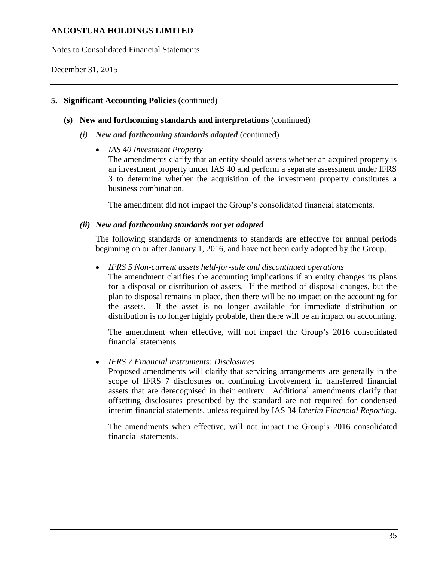Notes to Consolidated Financial Statements

December 31, 2015

### **5. Significant Accounting Policies** (continued)

#### **(s) New and forthcoming standards and interpretations** (continued)

- *(i) New and forthcoming standards adopted* (continued)
	- *IAS 40 Investment Property* The amendments clarify that an entity should assess whether an acquired property is an investment property under IAS 40 and perform a separate assessment under IFRS 3 to determine whether the acquisition of the investment property constitutes a business combination.

The amendment did not impact the Group's consolidated financial statements.

### *(ii) New and forthcoming standards not yet adopted*

The following standards or amendments to standards are effective for annual periods beginning on or after January 1, 2016, and have not been early adopted by the Group.

*IFRS 5 Non-current assets held-for-sale and discontinued operations*

The amendment clarifies the accounting implications if an entity changes its plans for a disposal or distribution of assets. If the method of disposal changes, but the plan to disposal remains in place, then there will be no impact on the accounting for the assets. If the asset is no longer available for immediate distribution or distribution is no longer highly probable, then there will be an impact on accounting.

The amendment when effective, will not impact the Group's 2016 consolidated financial statements.

*IFRS 7 Financial instruments: Disclosures* 

Proposed amendments will clarify that servicing arrangements are generally in the scope of IFRS 7 disclosures on continuing involvement in transferred financial assets that are derecognised in their entirety. Additional amendments clarify that offsetting disclosures prescribed by the standard are not required for condensed interim financial statements, unless required by IAS 34 *Interim Financial Reporting*.

The amendments when effective, will not impact the Group's 2016 consolidated financial statements.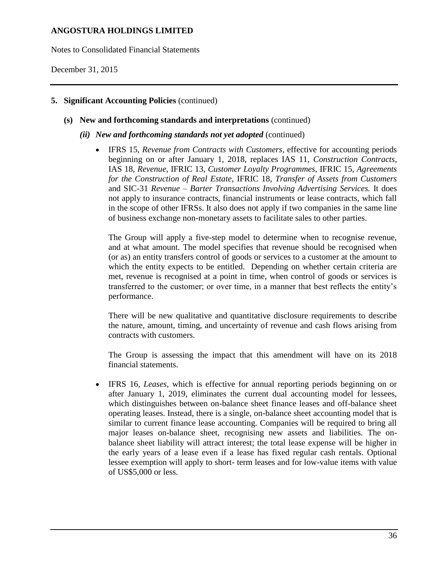Notes to Consolidated Financial Statements

December 31, 2015

#### **5. Significant Accounting Policies** (continued)

#### **(s) New and forthcoming standards and interpretations** (continued)

- *(ii) New and forthcoming standards not yet adopted* (continued)
	- IFRS 15, *Revenue from Contracts with Customers*, effective for accounting periods beginning on or after January 1, 2018, replaces IAS 11, *Construction Contracts*, IAS 18, *Revenue*, IFRIC 13, *Customer Loyalty Programmes,* IFRIC 15, *Agreements for the Construction of Real Estate*, IFRIC 18, *Transfer of Assets from Customers*  and SIC-31 *Revenue – Barter Transactions Involving Advertising Services.* It does not apply to insurance contracts, financial instruments or lease contracts, which fall in the scope of other IFRSs. It also does not apply if two companies in the same line of business exchange non-monetary assets to facilitate sales to other parties.

The Group will apply a five-step model to determine when to recognise revenue, and at what amount. The model specifies that revenue should be recognised when (or as) an entity transfers control of goods or services to a customer at the amount to which the entity expects to be entitled. Depending on whether certain criteria are met, revenue is recognised at a point in time, when control of goods or services is transferred to the customer; or over time, in a manner that best reflects the entity's performance.

There will be new qualitative and quantitative disclosure requirements to describe the nature, amount, timing, and uncertainty of revenue and cash flows arising from contracts with customers.

The Group is assessing the impact that this amendment will have on its 2018 financial statements.

 IFRS 16*, Leases,* which is effective for annual reporting periods beginning on or after January 1, 2019, eliminates the current dual accounting model for lessees, which distinguishes between on-balance sheet finance leases and off-balance sheet operating leases. Instead, there is a single, on-balance sheet accounting model that is similar to current finance lease accounting. Companies will be required to bring all major leases on-balance sheet, recognising new assets and liabilities. The onbalance sheet liability will attract interest; the total lease expense will be higher in the early years of a lease even if a lease has fixed regular cash rentals. Optional lessee exemption will apply to short- term leases and for low-value items with value of US\$5,000 or less.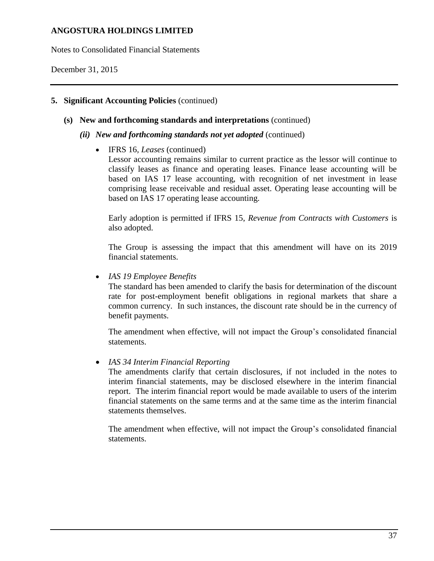Notes to Consolidated Financial Statements

December 31, 2015

### **5. Significant Accounting Policies** (continued)

#### **(s) New and forthcoming standards and interpretations** (continued)

### *(ii) New and forthcoming standards not yet adopted* (continued)

IFRS 16*, Leases* (continued)

Lessor accounting remains similar to current practice as the lessor will continue to classify leases as finance and operating leases. Finance lease accounting will be based on IAS 17 lease accounting, with recognition of net investment in lease comprising lease receivable and residual asset. Operating lease accounting will be based on IAS 17 operating lease accounting.

Early adoption is permitted if IFRS 15, *Revenue from Contracts with Customers* is also adopted.

The Group is assessing the impact that this amendment will have on its 2019 financial statements.

### *IAS 19 Employee Benefits*

The standard has been amended to clarify the basis for determination of the discount rate for post-employment benefit obligations in regional markets that share a common currency. In such instances, the discount rate should be in the currency of benefit payments.

The amendment when effective, will not impact the Group's consolidated financial statements.

## *IAS 34 Interim Financial Reporting*

The amendments clarify that certain disclosures, if not included in the notes to interim financial statements, may be disclosed elsewhere in the interim financial report. The interim financial report would be made available to users of the interim financial statements on the same terms and at the same time as the interim financial statements themselves.

The amendment when effective, will not impact the Group's consolidated financial statements.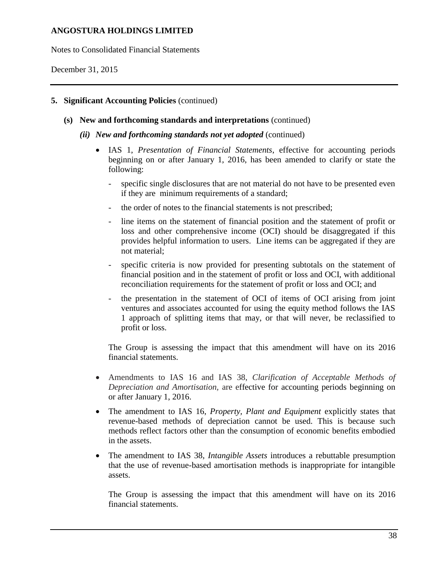Notes to Consolidated Financial Statements

December 31, 2015

### **5. Significant Accounting Policies** (continued)

- **(s) New and forthcoming standards and interpretations** (continued)
	- *(ii) New and forthcoming standards not yet adopted* (continued)
		- IAS 1, *Presentation of Financial Statements*, effective for accounting periods beginning on or after January 1, 2016, has been amended to clarify or state the following:
			- specific single disclosures that are not material do not have to be presented even if they are minimum requirements of a standard;
			- the order of notes to the financial statements is not prescribed;
			- line items on the statement of financial position and the statement of profit or loss and other comprehensive income (OCI) should be disaggregated if this provides helpful information to users. Line items can be aggregated if they are not material;
			- specific criteria is now provided for presenting subtotals on the statement of financial position and in the statement of profit or loss and OCI, with additional reconciliation requirements for the statement of profit or loss and OCI; and
			- the presentation in the statement of OCI of items of OCI arising from joint ventures and associates accounted for using the equity method follows the IAS 1 approach of splitting items that may, or that will never, be reclassified to profit or loss.

The Group is assessing the impact that this amendment will have on its 2016 financial statements.

- Amendments to IAS 16 and IAS 38, *Clarification of Acceptable Methods of Depreciation and Amortisation,* are effective for accounting periods beginning on or after January 1, 2016.
- The amendment to IAS 16, *Property, Plant and Equipment* explicitly states that revenue-based methods of depreciation cannot be used. This is because such methods reflect factors other than the consumption of economic benefits embodied in the assets.
- The amendment to IAS 38, *Intangible Assets* introduces a rebuttable presumption that the use of revenue-based amortisation methods is inappropriate for intangible assets.

The Group is assessing the impact that this amendment will have on its 2016 financial statements.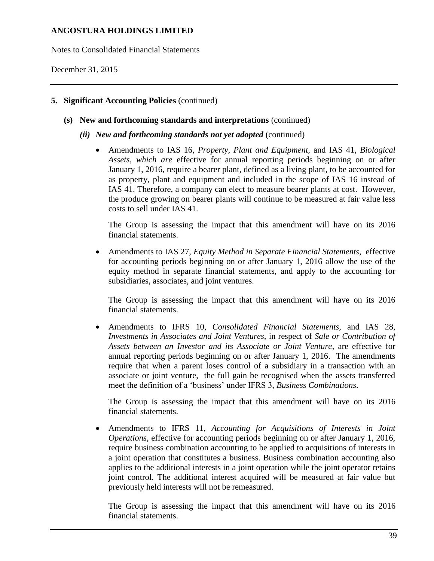Notes to Consolidated Financial Statements

December 31, 2015

#### **5. Significant Accounting Policies** (continued)

- **(s) New and forthcoming standards and interpretations** (continued)
	- *(ii) New and forthcoming standards not yet adopted* (continued)
		- Amendments to IAS 16, *Property, Plant and Equipment,* and IAS 41, *Biological Assets, which are* effective for annual reporting periods beginning on or after January 1, 2016, require a bearer plant, defined as a living plant, to be accounted for as property, plant and equipment and included in the scope of IAS 16 instead of IAS 41. Therefore, a company can elect to measure bearer plants at cost. However, the produce growing on bearer plants will continue to be measured at fair value less costs to sell under IAS 41.

The Group is assessing the impact that this amendment will have on its 2016 financial statements.

 Amendments to IAS 27, *Equity Method in Separate Financial Statements*, effective for accounting periods beginning on or after January 1, 2016 allow the use of the equity method in separate financial statements, and apply to the accounting for subsidiaries, associates, and joint ventures.

The Group is assessing the impact that this amendment will have on its 2016 financial statements.

 Amendments to IFRS 10, *Consolidated Financial Statements,* and IAS 28, *Investments in Associates and Joint Ventures,* in respect of *Sale or Contribution of Assets between an Investor and its Associate or Joint Venture*, are effective for annual reporting periods beginning on or after January 1, 2016. The amendments require that when a parent loses control of a subsidiary in a transaction with an associate or joint venture, the full gain be recognised when the assets transferred meet the definition of a 'business' under IFRS 3, *Business Combinations*.

The Group is assessing the impact that this amendment will have on its 2016 financial statements.

 Amendments to IFRS 11, *Accounting for Acquisitions of Interests in Joint Operations*, effective for accounting periods beginning on or after January 1, 2016, require business combination accounting to be applied to acquisitions of interests in a joint operation that constitutes a business. Business combination accounting also applies to the additional interests in a joint operation while the joint operator retains joint control. The additional interest acquired will be measured at fair value but previously held interests will not be remeasured.

The Group is assessing the impact that this amendment will have on its 2016 financial statements.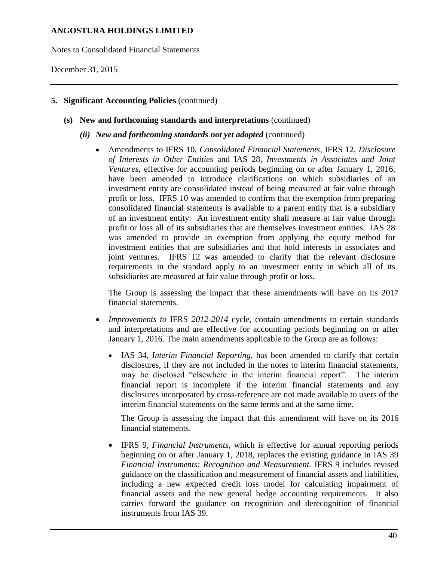Notes to Consolidated Financial Statements

December 31, 2015

### **5. Significant Accounting Policies** (continued)

- **(s) New and forthcoming standards and interpretations** (continued)
	- *(ii) New and forthcoming standards not yet adopted* (continued)
		- Amendments to IFRS 10, *Consolidated Financial Statements*, IFRS 12, *Disclosure of Interests in Other Entities* and IAS 28, *Investments in Associates and Joint Ventures*, effective for accounting periods beginning on or after January 1, 2016, have been amended to introduce clarifications on which subsidiaries of an investment entity are consolidated instead of being measured at fair value through profit or loss. IFRS 10 was amended to confirm that the exemption from preparing consolidated financial statements is available to a parent entity that is a subsidiary of an investment entity. An investment entity shall measure at fair value through profit or loss all of its subsidiaries that are themselves investment entities. IAS 28 was amended to provide an exemption from applying the equity method for investment entities that are subsidiaries and that hold interests in associates and joint ventures. IFRS 12 was amended to clarify that the relevant disclosure requirements in the standard apply to an investment entity in which all of its subsidiaries are measured at fair value through profit or loss.

The Group is assessing the impact that these amendments will have on its 2017 financial statements.

- *Improvements to* IFRS *2012-2014* cycle, contain amendments to certain standards and interpretations and are effective for accounting periods beginning on or after January 1, 2016. The main amendments applicable to the Group are as follows:
	- IAS 34, *Interim Financial Reporting,* has been amended to clarify that certain disclosures, if they are not included in the notes to interim financial statements, may be disclosed "elsewhere in the interim financial report". The interim financial report is incomplete if the interim financial statements and any disclosures incorporated by cross-reference are not made available to users of the interim financial statements on the same terms and at the same time.

The Group is assessing the impact that this amendment will have on its 2016 financial statements.

 IFRS 9*, Financial Instruments,* which is effective for annual reporting periods beginning on or after January 1, 2018, replaces the existing guidance in IAS 39 *Financial Instruments: Recognition and Measurement.* IFRS 9 includes revised guidance on the classification and measurement of financial assets and liabilities, including a new expected credit loss model for calculating impairment of financial assets and the new general hedge accounting requirements. It also carries forward the guidance on recognition and derecognition of financial instruments from IAS 39.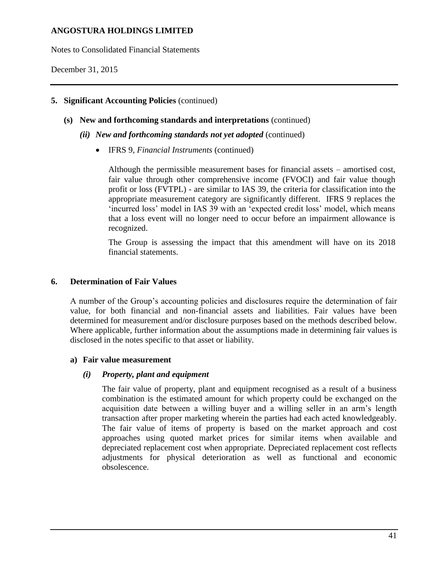Notes to Consolidated Financial Statements

December 31, 2015

### **5. Significant Accounting Policies** (continued)

- **(s) New and forthcoming standards and interpretations** (continued)
	- *(ii) New and forthcoming standards not yet adopted* (continued)
		- IFRS 9*, Financial Instruments* (continued)

Although the permissible measurement bases for financial assets – amortised cost, fair value through other comprehensive income (FVOCI) and fair value though profit or loss (FVTPL) - are similar to IAS 39, the criteria for classification into the appropriate measurement category are significantly different. IFRS 9 replaces the 'incurred loss' model in IAS 39 with an 'expected credit loss' model, which means that a loss event will no longer need to occur before an impairment allowance is recognized.

The Group is assessing the impact that this amendment will have on its 2018 financial statements.

## **6. Determination of Fair Values**

A number of the Group's accounting policies and disclosures require the determination of fair value, for both financial and non-financial assets and liabilities. Fair values have been determined for measurement and/or disclosure purposes based on the methods described below. Where applicable, further information about the assumptions made in determining fair values is disclosed in the notes specific to that asset or liability.

#### **a) Fair value measurement**

#### *(i) Property, plant and equipment*

The fair value of property, plant and equipment recognised as a result of a business combination is the estimated amount for which property could be exchanged on the acquisition date between a willing buyer and a willing seller in an arm's length transaction after proper marketing wherein the parties had each acted knowledgeably. The fair value of items of property is based on the market approach and cost approaches using quoted market prices for similar items when available and depreciated replacement cost when appropriate. Depreciated replacement cost reflects adjustments for physical deterioration as well as functional and economic obsolescence.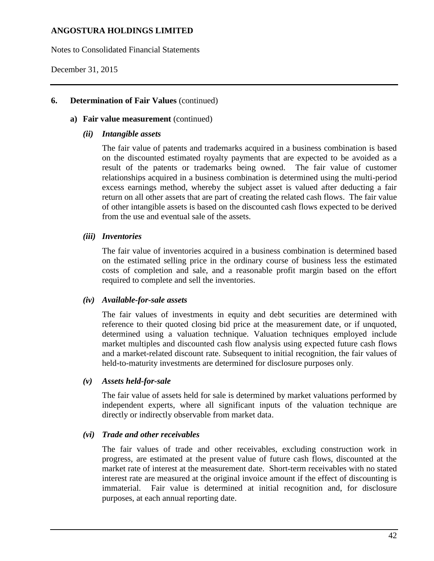Notes to Consolidated Financial Statements

December 31, 2015

### **6. Determination of Fair Values** (continued)

#### **a) Fair value measurement** (continued)

### *(ii) Intangible assets*

The fair value of patents and trademarks acquired in a business combination is based on the discounted estimated royalty payments that are expected to be avoided as a result of the patents or trademarks being owned. The fair value of customer relationships acquired in a business combination is determined using the multi-period excess earnings method, whereby the subject asset is valued after deducting a fair return on all other assets that are part of creating the related cash flows. The fair value of other intangible assets is based on the discounted cash flows expected to be derived from the use and eventual sale of the assets.

### *(iii) Inventories*

The fair value of inventories acquired in a business combination is determined based on the estimated selling price in the ordinary course of business less the estimated costs of completion and sale, and a reasonable profit margin based on the effort required to complete and sell the inventories.

## *(iv) Available-for-sale assets*

The fair values of investments in equity and debt securities are determined with reference to their quoted closing bid price at the measurement date, or if unquoted, determined using a valuation technique. Valuation techniques employed include market multiples and discounted cash flow analysis using expected future cash flows and a market-related discount rate. Subsequent to initial recognition, the fair values of held-to-maturity investments are determined for disclosure purposes only.

## *(v) Assets held-for-sale*

The fair value of assets held for sale is determined by market valuations performed by independent experts, where all significant inputs of the valuation technique are directly or indirectly observable from market data.

## *(vi) Trade and other receivables*

The fair values of trade and other receivables, excluding construction work in progress, are estimated at the present value of future cash flows, discounted at the market rate of interest at the measurement date. Short-term receivables with no stated interest rate are measured at the original invoice amount if the effect of discounting is immaterial. Fair value is determined at initial recognition and, for disclosure purposes, at each annual reporting date.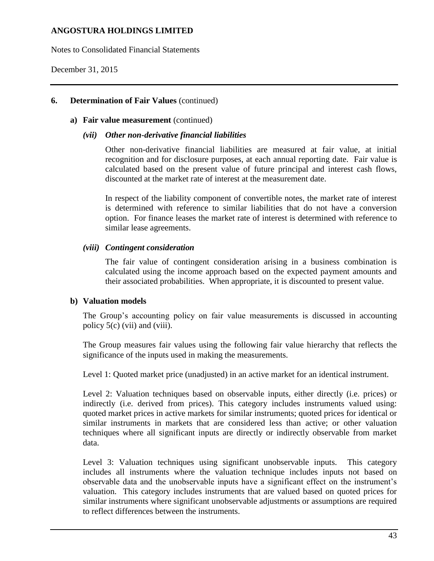Notes to Consolidated Financial Statements

December 31, 2015

#### **6. Determination of Fair Values** (continued)

#### **a) Fair value measurement** (continued)

## *(vii) Other non-derivative financial liabilities*

Other non-derivative financial liabilities are measured at fair value, at initial recognition and for disclosure purposes, at each annual reporting date. Fair value is calculated based on the present value of future principal and interest cash flows, discounted at the market rate of interest at the measurement date.

In respect of the liability component of convertible notes, the market rate of interest is determined with reference to similar liabilities that do not have a conversion option. For finance leases the market rate of interest is determined with reference to similar lease agreements.

### *(viii) Contingent consideration*

The fair value of contingent consideration arising in a business combination is calculated using the income approach based on the expected payment amounts and their associated probabilities. When appropriate, it is discounted to present value.

## **b) Valuation models**

The Group's accounting policy on fair value measurements is discussed in accounting policy 5(c) (vii) and (viii).

The Group measures fair values using the following fair value hierarchy that reflects the significance of the inputs used in making the measurements.

Level 1: Quoted market price (unadjusted) in an active market for an identical instrument.

Level 2: Valuation techniques based on observable inputs, either directly (i.e. prices) or indirectly (i.e. derived from prices). This category includes instruments valued using: quoted market prices in active markets for similar instruments; quoted prices for identical or similar instruments in markets that are considered less than active; or other valuation techniques where all significant inputs are directly or indirectly observable from market data.

Level 3: Valuation techniques using significant unobservable inputs. This category includes all instruments where the valuation technique includes inputs not based on observable data and the unobservable inputs have a significant effect on the instrument's valuation. This category includes instruments that are valued based on quoted prices for similar instruments where significant unobservable adjustments or assumptions are required to reflect differences between the instruments.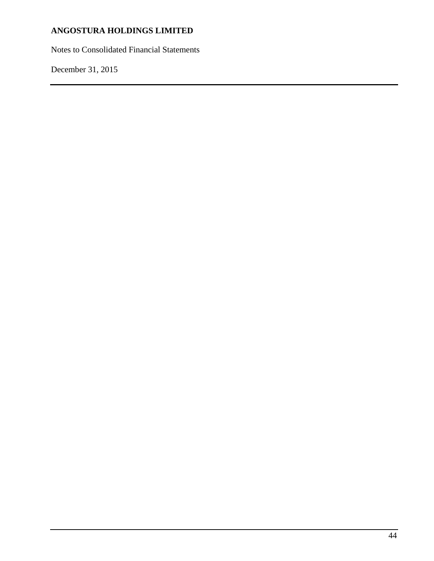Notes to Consolidated Financial Statements

December 31, 2015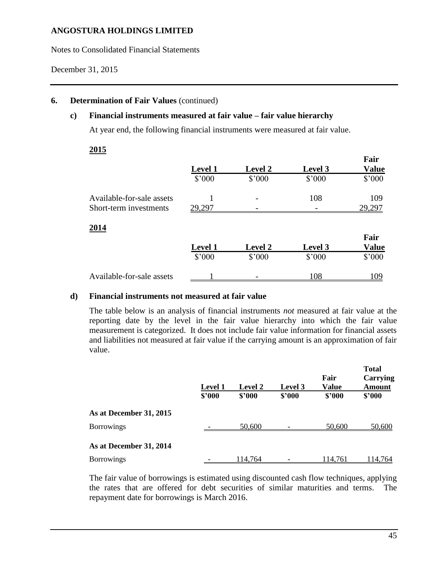Notes to Consolidated Financial Statements

December 31, 2015

## **6. Determination of Fair Values** (continued)

### **c) Financial instruments measured at fair value – fair value hierarchy**

At year end, the following financial instruments were measured at fair value.

**2015**

|                           |                |                |                | г ан         |
|---------------------------|----------------|----------------|----------------|--------------|
|                           | <b>Level 1</b> | <b>Level 2</b> | Level 3        | Value        |
|                           | $$^{\circ}000$ | \$'000         | $$^{\circ}000$ | \$'000       |
| Available-for-sale assets |                |                | 108            | 109          |
| Short-term investments    | 29,297         |                |                | 29,297       |
| 2014                      |                |                |                |              |
|                           |                |                |                | Fair         |
|                           | <b>Level 1</b> | <b>Level 2</b> | Level 3        | <b>Value</b> |
|                           | $$^{\circ}000$ | \$'000         | $$^{\circ}000$ | \$'000       |
| Available-for-sale assets |                |                | 108            | 109          |

#### **d) Financial instruments not measured at fair value**

The table below is an analysis of financial instruments *not* measured at fair value at the reporting date by the level in the fair value hierarchy into which the fair value measurement is categorized. It does not include fair value information for financial assets and liabilities not measured at fair value if the carrying amount is an approximation of fair value.

|                         | <b>Level 1</b><br>\$2000 | <b>Level 2</b><br>\$'000 | Level 3<br>\$2000 | Fair<br>Value<br>\$2000 | <b>Total</b><br>Carrying<br><b>Amount</b><br>\$2000 |
|-------------------------|--------------------------|--------------------------|-------------------|-------------------------|-----------------------------------------------------|
| As at December 31, 2015 |                          |                          |                   |                         |                                                     |
| <b>Borrowings</b>       |                          | 50,600                   |                   | 50,600                  | 50,600                                              |
| As at December 31, 2014 |                          |                          |                   |                         |                                                     |
| <b>Borrowings</b>       |                          | 114,764                  |                   | 114,761                 | 114.764                                             |

The fair value of borrowings is estimated using discounted cash flow techniques, applying the rates that are offered for debt securities of similar maturities and terms. The repayment date for borrowings is March 2016.

**Fair**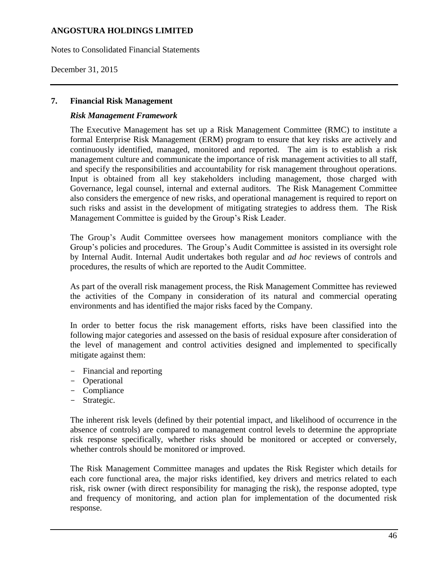Notes to Consolidated Financial Statements

December 31, 2015

## **7. Financial Risk Management**

### *Risk Management Framework*

The Executive Management has set up a Risk Management Committee (RMC) to institute a formal Enterprise Risk Management (ERM) program to ensure that key risks are actively and continuously identified, managed, monitored and reported. The aim is to establish a risk management culture and communicate the importance of risk management activities to all staff, and specify the responsibilities and accountability for risk management throughout operations. Input is obtained from all key stakeholders including management, those charged with Governance, legal counsel, internal and external auditors. The Risk Management Committee also considers the emergence of new risks, and operational management is required to report on such risks and assist in the development of mitigating strategies to address them. The Risk Management Committee is guided by the Group's Risk Leader.

The Group's Audit Committee oversees how management monitors compliance with the Group's policies and procedures. The Group's Audit Committee is assisted in its oversight role by Internal Audit. Internal Audit undertakes both regular and *ad hoc* reviews of controls and procedures, the results of which are reported to the Audit Committee.

As part of the overall risk management process, the Risk Management Committee has reviewed the activities of the Company in consideration of its natural and commercial operating environments and has identified the major risks faced by the Company.

In order to better focus the risk management efforts, risks have been classified into the following major categories and assessed on the basis of residual exposure after consideration of the level of management and control activities designed and implemented to specifically mitigate against them:

- Financial and reporting
- Operational
- Compliance
- Strategic.

The inherent risk levels (defined by their potential impact, and likelihood of occurrence in the absence of controls) are compared to management control levels to determine the appropriate risk response specifically, whether risks should be monitored or accepted or conversely, whether controls should be monitored or improved.

The Risk Management Committee manages and updates the Risk Register which details for each core functional area, the major risks identified, key drivers and metrics related to each risk, risk owner (with direct responsibility for managing the risk), the response adopted, type and frequency of monitoring, and action plan for implementation of the documented risk response.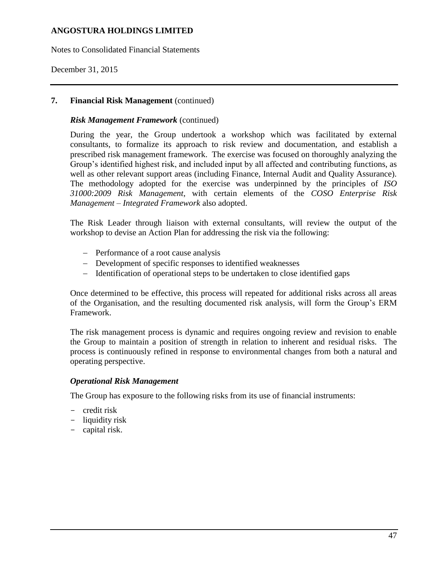Notes to Consolidated Financial Statements

December 31, 2015

#### **7. Financial Risk Management** (continued)

#### *Risk Management Framework* (continued)

During the year, the Group undertook a workshop which was facilitated by external consultants, to formalize its approach to risk review and documentation, and establish a prescribed risk management framework. The exercise was focused on thoroughly analyzing the Group's identified highest risk, and included input by all affected and contributing functions, as well as other relevant support areas (including Finance, Internal Audit and Quality Assurance). The methodology adopted for the exercise was underpinned by the principles of *ISO 31000:2009 Risk Management*, with certain elements of the *COSO Enterprise Risk Management – Integrated Framework* also adopted.

The Risk Leader through liaison with external consultants, will review the output of the workshop to devise an Action Plan for addressing the risk via the following:

- Performance of a root cause analysis
- Development of specific responses to identified weaknesses
- Identification of operational steps to be undertaken to close identified gaps

Once determined to be effective, this process will repeated for additional risks across all areas of the Organisation, and the resulting documented risk analysis, will form the Group's ERM Framework.

The risk management process is dynamic and requires ongoing review and revision to enable the Group to maintain a position of strength in relation to inherent and residual risks. The process is continuously refined in response to environmental changes from both a natural and operating perspective.

#### *Operational Risk Management*

The Group has exposure to the following risks from its use of financial instruments:

- credit risk
- liquidity risk
- capital risk.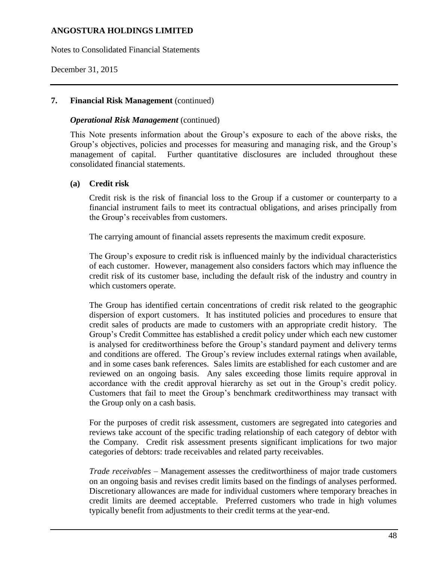Notes to Consolidated Financial Statements

December 31, 2015

#### **7. Financial Risk Management** (continued)

### *Operational Risk Management* (continued)

This Note presents information about the Group's exposure to each of the above risks, the Group's objectives, policies and processes for measuring and managing risk, and the Group's management of capital. Further quantitative disclosures are included throughout these consolidated financial statements.

## **(a) Credit risk**

Credit risk is the risk of financial loss to the Group if a customer or counterparty to a financial instrument fails to meet its contractual obligations, and arises principally from the Group's receivables from customers.

The carrying amount of financial assets represents the maximum credit exposure.

The Group's exposure to credit risk is influenced mainly by the individual characteristics of each customer. However, management also considers factors which may influence the credit risk of its customer base, including the default risk of the industry and country in which customers operate.

The Group has identified certain concentrations of credit risk related to the geographic dispersion of export customers. It has instituted policies and procedures to ensure that credit sales of products are made to customers with an appropriate credit history. The Group's Credit Committee has established a credit policy under which each new customer is analysed for creditworthiness before the Group's standard payment and delivery terms and conditions are offered. The Group's review includes external ratings when available, and in some cases bank references. Sales limits are established for each customer and are reviewed on an ongoing basis. Any sales exceeding those limits require approval in accordance with the credit approval hierarchy as set out in the Group's credit policy. Customers that fail to meet the Group's benchmark creditworthiness may transact with the Group only on a cash basis.

For the purposes of credit risk assessment, customers are segregated into categories and reviews take account of the specific trading relationship of each category of debtor with the Company. Credit risk assessment presents significant implications for two major categories of debtors: trade receivables and related party receivables.

*Trade receivables* – Management assesses the creditworthiness of major trade customers on an ongoing basis and revises credit limits based on the findings of analyses performed. Discretionary allowances are made for individual customers where temporary breaches in credit limits are deemed acceptable. Preferred customers who trade in high volumes typically benefit from adjustments to their credit terms at the year-end.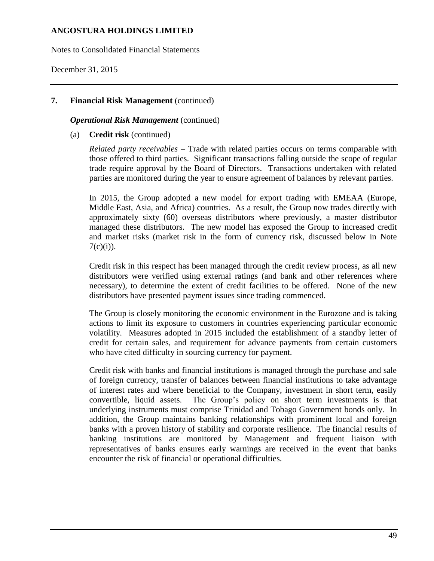Notes to Consolidated Financial Statements

December 31, 2015

### **7. Financial Risk Management** (continued)

#### *Operational Risk Management* (continued)

(a) **Credit risk** (continued)

*Related party receivables* – Trade with related parties occurs on terms comparable with those offered to third parties. Significant transactions falling outside the scope of regular trade require approval by the Board of Directors. Transactions undertaken with related parties are monitored during the year to ensure agreement of balances by relevant parties.

In 2015, the Group adopted a new model for export trading with EMEAA (Europe, Middle East, Asia, and Africa) countries. As a result, the Group now trades directly with approximately sixty (60) overseas distributors where previously, a master distributor managed these distributors. The new model has exposed the Group to increased credit and market risks (market risk in the form of currency risk, discussed below in Note  $7(c)(i)$ ).

Credit risk in this respect has been managed through the credit review process, as all new distributors were verified using external ratings (and bank and other references where necessary), to determine the extent of credit facilities to be offered. None of the new distributors have presented payment issues since trading commenced.

The Group is closely monitoring the economic environment in the Eurozone and is taking actions to limit its exposure to customers in countries experiencing particular economic volatility. Measures adopted in 2015 included the establishment of a standby letter of credit for certain sales, and requirement for advance payments from certain customers who have cited difficulty in sourcing currency for payment.

Credit risk with banks and financial institutions is managed through the purchase and sale of foreign currency, transfer of balances between financial institutions to take advantage of interest rates and where beneficial to the Company, investment in short term, easily convertible, liquid assets. The Group's policy on short term investments is that underlying instruments must comprise Trinidad and Tobago Government bonds only. In addition, the Group maintains banking relationships with prominent local and foreign banks with a proven history of stability and corporate resilience. The financial results of banking institutions are monitored by Management and frequent liaison with representatives of banks ensures early warnings are received in the event that banks encounter the risk of financial or operational difficulties.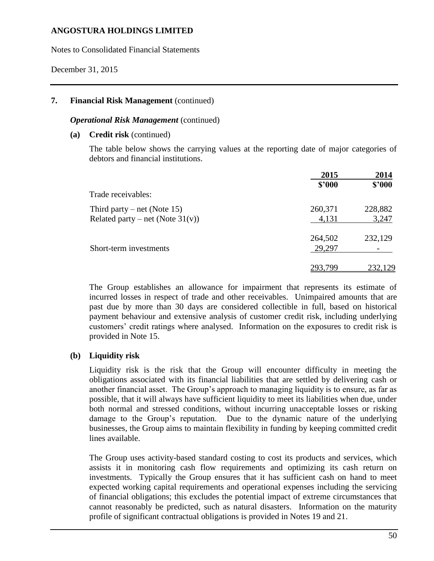Notes to Consolidated Financial Statements

December 31, 2015

#### **7. Financial Risk Management** (continued)

#### *Operational Risk Management* (continued)

#### **(a) Credit risk** (continued)

The table below shows the carrying values at the reporting date of major categories of debtors and financial institutions.

|                                     | 2015    | 2014    |
|-------------------------------------|---------|---------|
|                                     | \$2000  | \$2000  |
| Trade receivables:                  |         |         |
| Third party – net (Note 15)         | 260,371 | 228,882 |
| Related party – net (Note $31(v)$ ) | 4,131   | 3,247   |
|                                     | 264,502 | 232,129 |
| Short-term investments              | 29,297  |         |
|                                     | 293,799 | 232,129 |

The Group establishes an allowance for impairment that represents its estimate of incurred losses in respect of trade and other receivables. Unimpaired amounts that are past due by more than 30 days are considered collectible in full, based on historical payment behaviour and extensive analysis of customer credit risk, including underlying customers' credit ratings where analysed. Information on the exposures to credit risk is provided in Note 15.

## **(b) Liquidity risk**

Liquidity risk is the risk that the Group will encounter difficulty in meeting the obligations associated with its financial liabilities that are settled by delivering cash or another financial asset. The Group's approach to managing liquidity is to ensure, as far as possible, that it will always have sufficient liquidity to meet its liabilities when due, under both normal and stressed conditions, without incurring unacceptable losses or risking damage to the Group's reputation. Due to the dynamic nature of the underlying businesses, the Group aims to maintain flexibility in funding by keeping committed credit lines available.

The Group uses activity-based standard costing to cost its products and services, which assists it in monitoring cash flow requirements and optimizing its cash return on investments. Typically the Group ensures that it has sufficient cash on hand to meet expected working capital requirements and operational expenses including the servicing of financial obligations; this excludes the potential impact of extreme circumstances that cannot reasonably be predicted, such as natural disasters. Information on the maturity profile of significant contractual obligations is provided in Notes 19 and 21.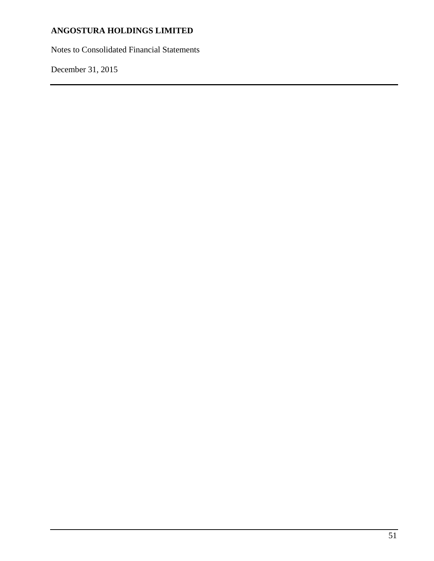Notes to Consolidated Financial Statements

December 31, 2015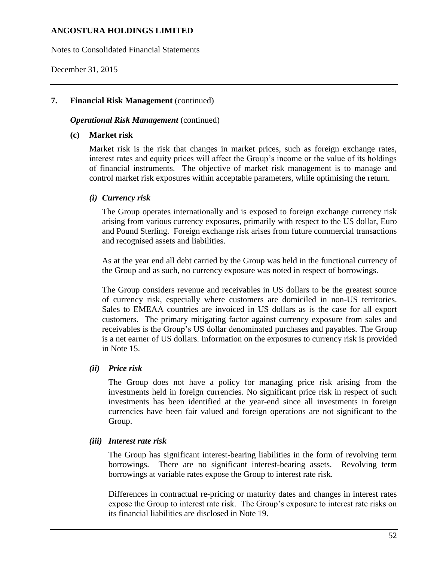Notes to Consolidated Financial Statements

December 31, 2015

### **7. Financial Risk Management** (continued)

#### *Operational Risk Management* (continued)

### **(c) Market risk**

Market risk is the risk that changes in market prices, such as foreign exchange rates, interest rates and equity prices will affect the Group's income or the value of its holdings of financial instruments. The objective of market risk management is to manage and control market risk exposures within acceptable parameters, while optimising the return.

## *(i) Currency risk*

The Group operates internationally and is exposed to foreign exchange currency risk arising from various currency exposures, primarily with respect to the US dollar, Euro and Pound Sterling. Foreign exchange risk arises from future commercial transactions and recognised assets and liabilities.

As at the year end all debt carried by the Group was held in the functional currency of the Group and as such, no currency exposure was noted in respect of borrowings.

The Group considers revenue and receivables in US dollars to be the greatest source of currency risk, especially where customers are domiciled in non-US territories. Sales to EMEAA countries are invoiced in US dollars as is the case for all export customers. The primary mitigating factor against currency exposure from sales and receivables is the Group's US dollar denominated purchases and payables. The Group is a net earner of US dollars. Information on the exposures to currency risk is provided in Note 15.

## *(ii) Price risk*

The Group does not have a policy for managing price risk arising from the investments held in foreign currencies. No significant price risk in respect of such investments has been identified at the year-end since all investments in foreign currencies have been fair valued and foreign operations are not significant to the Group.

## *(iii) Interest rate risk*

The Group has significant interest-bearing liabilities in the form of revolving term borrowings. There are no significant interest-bearing assets. Revolving term borrowings at variable rates expose the Group to interest rate risk.

Differences in contractual re-pricing or maturity dates and changes in interest rates expose the Group to interest rate risk. The Group's exposure to interest rate risks on its financial liabilities are disclosed in Note 19.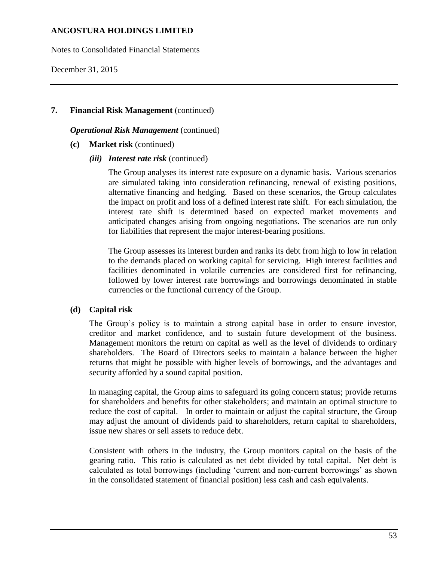Notes to Consolidated Financial Statements

December 31, 2015

### **7. Financial Risk Management** (continued)

#### *Operational Risk Management* (continued)

- **(c) Market risk** (continued)
	- *(iii) Interest rate risk* (continued)

The Group analyses its interest rate exposure on a dynamic basis. Various scenarios are simulated taking into consideration refinancing, renewal of existing positions, alternative financing and hedging. Based on these scenarios, the Group calculates the impact on profit and loss of a defined interest rate shift. For each simulation, the interest rate shift is determined based on expected market movements and anticipated changes arising from ongoing negotiations. The scenarios are run only for liabilities that represent the major interest-bearing positions.

The Group assesses its interest burden and ranks its debt from high to low in relation to the demands placed on working capital for servicing. High interest facilities and facilities denominated in volatile currencies are considered first for refinancing, followed by lower interest rate borrowings and borrowings denominated in stable currencies or the functional currency of the Group.

## **(d) Capital risk**

The Group's policy is to maintain a strong capital base in order to ensure investor, creditor and market confidence, and to sustain future development of the business. Management monitors the return on capital as well as the level of dividends to ordinary shareholders. The Board of Directors seeks to maintain a balance between the higher returns that might be possible with higher levels of borrowings, and the advantages and security afforded by a sound capital position.

In managing capital, the Group aims to safeguard its going concern status; provide returns for shareholders and benefits for other stakeholders; and maintain an optimal structure to reduce the cost of capital. In order to maintain or adjust the capital structure, the Group may adjust the amount of dividends paid to shareholders, return capital to shareholders, issue new shares or sell assets to reduce debt.

Consistent with others in the industry, the Group monitors capital on the basis of the gearing ratio. This ratio is calculated as net debt divided by total capital. Net debt is calculated as total borrowings (including 'current and non-current borrowings' as shown in the consolidated statement of financial position) less cash and cash equivalents.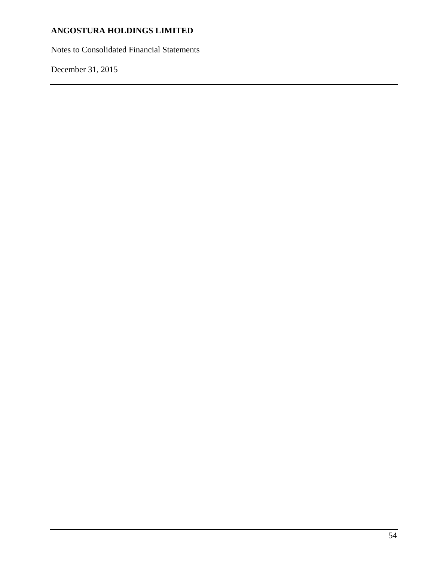Notes to Consolidated Financial Statements

December 31, 2015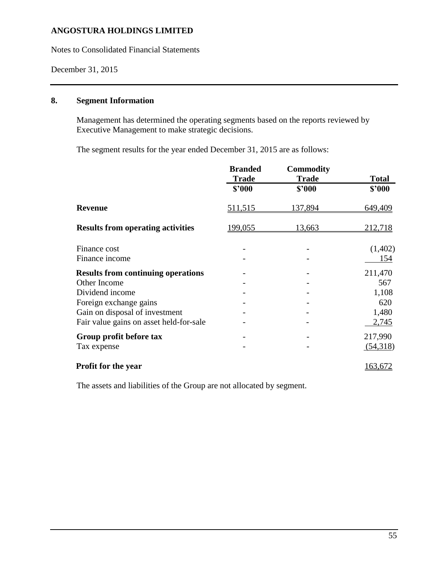Notes to Consolidated Financial Statements

December 31, 2015

## **8. Segment Information**

Management has determined the operating segments based on the reports reviewed by Executive Management to make strategic decisions.

The segment results for the year ended December 31, 2015 are as follows:

|                                           | <b>Branded</b><br><b>Trade</b> | <b>Commodity</b>       | <b>Total</b> |
|-------------------------------------------|--------------------------------|------------------------|--------------|
|                                           | \$2000                         | <b>Trade</b><br>\$'000 | \$2000       |
| <b>Revenue</b>                            | 511,515                        | 137,894                | 649,409      |
| <b>Results from operating activities</b>  | <u>199,055</u>                 | 13,663                 | 212,718      |
| Finance cost                              |                                |                        | (1,402)      |
| Finance income                            |                                |                        | 154          |
| <b>Results from continuing operations</b> |                                |                        | 211,470      |
| Other Income                              |                                |                        | 567          |
| Dividend income                           |                                |                        | 1,108        |
| Foreign exchange gains                    |                                |                        | 620          |
| Gain on disposal of investment            |                                |                        | 1,480        |
| Fair value gains on asset held-for-sale   |                                |                        | 2,745        |
| Group profit before tax                   |                                |                        | 217,990      |
| Tax expense                               |                                |                        | (54,318)     |
| Profit for the year                       |                                |                        | 163,672      |

The assets and liabilities of the Group are not allocated by segment.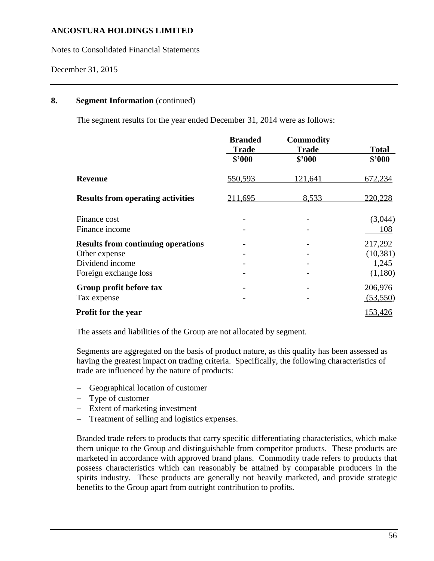Notes to Consolidated Financial Statements

December 31, 2015

#### **8. Segment Information** (continued)

The segment results for the year ended December 31, 2014 were as follows:

|                                                                                                        | <b>Branded</b>         | <b>Commodity</b>       |                                          |
|--------------------------------------------------------------------------------------------------------|------------------------|------------------------|------------------------------------------|
|                                                                                                        | <b>Trade</b><br>\$2000 | <b>Trade</b><br>\$2000 | <b>Total</b><br>\$2000                   |
| <b>Revenue</b>                                                                                         | 550,593                | <u>121,641</u>         | 672,234                                  |
| <b>Results from operating activities</b>                                                               | 211,695                | 8,533                  | 220,228                                  |
| Finance cost<br>Finance income                                                                         |                        |                        | (3,044)<br>108                           |
| <b>Results from continuing operations</b><br>Other expense<br>Dividend income<br>Foreign exchange loss |                        |                        | 217,292<br>(10, 381)<br>1,245<br>(1,180) |
| Group profit before tax<br>Tax expense                                                                 |                        |                        | 206,976<br>(53,550)                      |
| <b>Profit for the year</b>                                                                             |                        |                        | 153,426                                  |

The assets and liabilities of the Group are not allocated by segment.

Segments are aggregated on the basis of product nature, as this quality has been assessed as having the greatest impact on trading criteria. Specifically, the following characteristics of trade are influenced by the nature of products:

- Geographical location of customer
- Type of customer
- Extent of marketing investment
- Treatment of selling and logistics expenses.

Branded trade refers to products that carry specific differentiating characteristics, which make them unique to the Group and distinguishable from competitor products. These products are marketed in accordance with approved brand plans. Commodity trade refers to products that possess characteristics which can reasonably be attained by comparable producers in the spirits industry. These products are generally not heavily marketed, and provide strategic benefits to the Group apart from outright contribution to profits.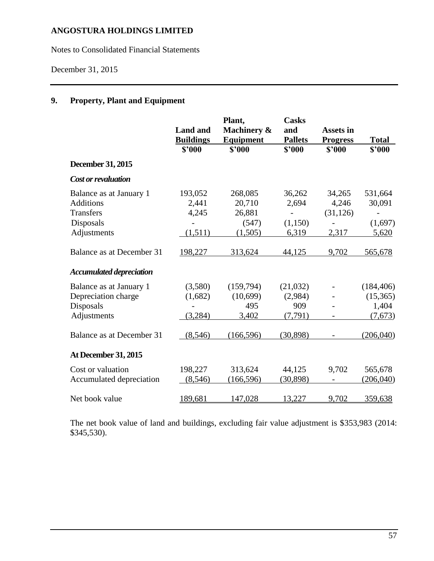Notes to Consolidated Financial Statements

December 31, 2015

# **9. Property, Plant and Equipment**

|                                 | Plant,           |                  | <b>Casks</b>   |                  |              |  |
|---------------------------------|------------------|------------------|----------------|------------------|--------------|--|
|                                 | <b>Land and</b>  | Machinery &      | and            | <b>Assets in</b> |              |  |
|                                 | <b>Buildings</b> | <b>Equipment</b> | <b>Pallets</b> | <b>Progress</b>  | <b>Total</b> |  |
|                                 | \$2000           | \$2000           | \$2000         | \$2000           | \$2000       |  |
| December 31, 2015               |                  |                  |                |                  |              |  |
| <b>Cost or revaluation</b>      |                  |                  |                |                  |              |  |
| Balance as at January 1         | 193,052          | 268,085          | 36,262         | 34,265           | 531,664      |  |
| <b>Additions</b>                | 2,441            | 20,710           | 2,694          | 4,246            | 30,091       |  |
| <b>Transfers</b>                | 4,245            | 26,881           |                | (31, 126)        |              |  |
| Disposals                       |                  | (547)            | (1,150)        |                  | (1,697)      |  |
| Adjustments                     | (1,511)          | (1,505)          | 6,319          | 2,317            | 5,620        |  |
| Balance as at December 31       | 198,227          | 313,624          | 44,125         | 9,702            | 565,678      |  |
| <b>Accumulated depreciation</b> |                  |                  |                |                  |              |  |
| Balance as at January 1         | (3,580)          | (159,794)        | (21,032)       |                  | (184, 406)   |  |
| Depreciation charge             | (1,682)          | (10,699)         | (2,984)        |                  | (15, 365)    |  |
| Disposals                       |                  | 495              | 909            |                  | 1,404        |  |
| Adjustments                     | (3,284)          | 3,402            | (7, 791)       |                  | (7,673)      |  |
| Balance as at December 31       | (8,546)          | (166, 596)       | (30, 898)      |                  | (206, 040)   |  |
| <b>At December 31, 2015</b>     |                  |                  |                |                  |              |  |
| Cost or valuation               | 198,227          | 313,624          | 44,125         | 9,702            | 565,678      |  |
| Accumulated depreciation        | (8, 546)         | (166, 596)       | (30, 898)      |                  | (206, 040)   |  |
| Net book value                  | 189,681          | 147,028          | 13,227         | 9,702            | 359,638      |  |

The net book value of land and buildings, excluding fair value adjustment is \$353,983 (2014: \$345,530).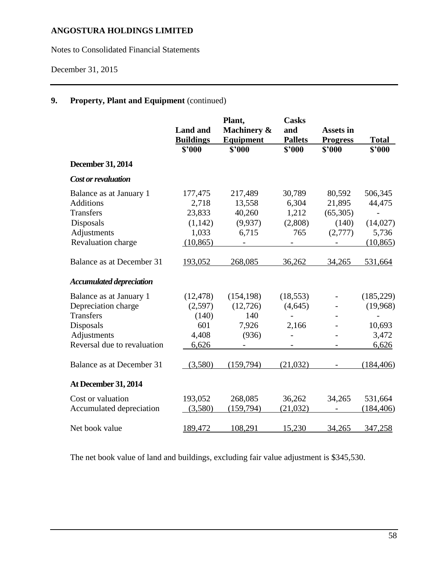Notes to Consolidated Financial Statements

December 31, 2015

## **9. Property, Plant and Equipment** (continued)

|                                 |                  | Plant,           | <b>Casks</b>   |                  |              |
|---------------------------------|------------------|------------------|----------------|------------------|--------------|
|                                 | <b>Land and</b>  | Machinery &      | and            | <b>Assets in</b> |              |
|                                 | <b>Buildings</b> | <b>Equipment</b> | <b>Pallets</b> | <b>Progress</b>  | <b>Total</b> |
|                                 | \$2000           | \$2000           | \$2000         | \$2000           | \$2000       |
| <b>December 31, 2014</b>        |                  |                  |                |                  |              |
| Cost or revaluation             |                  |                  |                |                  |              |
| Balance as at January 1         | 177,475          | 217,489          | 30,789         | 80,592           | 506,345      |
| <b>Additions</b>                | 2,718            | 13,558           | 6,304          | 21,895           | 44,475       |
| <b>Transfers</b>                | 23,833           | 40,260           | 1,212          | (65,305)         |              |
| Disposals                       | (1,142)          | (9,937)          | (2,808)        | (140)            | (14,027)     |
| Adjustments                     | 1,033            | 6,715            | 765            | (2,777)          | 5,736        |
| Revaluation charge              | (10, 865)        |                  |                |                  | (10, 865)    |
| Balance as at December 31       | 193,052          | 268,085          | 36,262         | 34,265           | 531,664      |
| <b>Accumulated depreciation</b> |                  |                  |                |                  |              |
| Balance as at January 1         | (12, 478)        | (154, 198)       | (18, 553)      |                  | (185, 229)   |
| Depreciation charge             | (2,597)          | (12,726)         | (4,645)        |                  | (19,968)     |
| <b>Transfers</b>                | (140)            | 140              |                |                  |              |
| Disposals                       | 601              | 7,926            | 2,166          |                  | 10,693       |
| Adjustments                     | 4,408            | (936)            | $\overline{a}$ |                  | 3,472        |
| Reversal due to revaluation     | 6,626            |                  |                |                  | 6,626        |
| Balance as at December 31       | (3,580)          | (159, 794)       | (21,032)       |                  | (184, 406)   |
| <b>At December 31, 2014</b>     |                  |                  |                |                  |              |
| Cost or valuation               | 193,052          | 268,085          | 36,262         | 34,265           | 531,664      |
| Accumulated depreciation        | (3,580)          | (159, 794)       | (21,032)       |                  | (184, 406)   |
| Net book value                  | 189,472          | 108,291          | 15,230         | 34,265           | 347,258      |

The net book value of land and buildings, excluding fair value adjustment is \$345,530.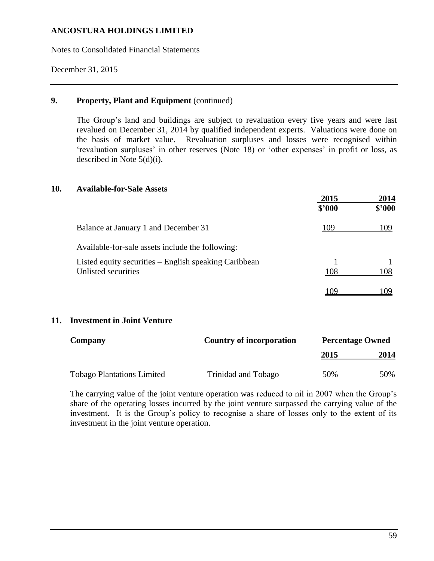Notes to Consolidated Financial Statements

December 31, 2015

#### **9. Property, Plant and Equipment** (continued)

The Group's land and buildings are subject to revaluation every five years and were last revalued on December 31, 2014 by qualified independent experts. Valuations were done on the basis of market value. Revaluation surpluses and losses were recognised within 'revaluation surpluses' in other reserves (Note 18) or 'other expenses' in profit or loss, as described in Note 5(d)(i).

#### **10. Available-for-Sale Assets**

|                                                       | 2015   | 2014   |  |
|-------------------------------------------------------|--------|--------|--|
|                                                       | \$2000 | \$2000 |  |
| Balance at January 1 and December 31                  | 109    | 109    |  |
| Available-for-sale assets include the following:      |        |        |  |
| Listed equity securities – English speaking Caribbean |        |        |  |
| Unlisted securities                                   | 108    | 108    |  |
|                                                       | 109    | 109    |  |

#### **11. Investment in Joint Venture**

| Company                           | Country of incorporation | <b>Percentage Owned</b> |      |  |
|-----------------------------------|--------------------------|-------------------------|------|--|
|                                   |                          | 2015                    | 2014 |  |
| <b>Tobago Plantations Limited</b> | Trinidad and Tobago      | 50%                     | 50%  |  |

The carrying value of the joint venture operation was reduced to nil in 2007 when the Group's share of the operating losses incurred by the joint venture surpassed the carrying value of the investment. It is the Group's policy to recognise a share of losses only to the extent of its investment in the joint venture operation.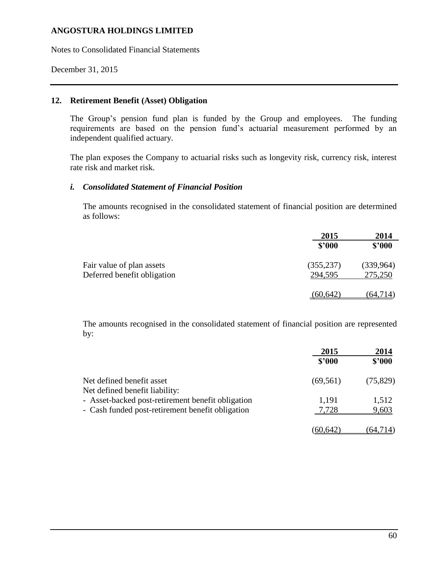Notes to Consolidated Financial Statements

December 31, 2015

#### **12. Retirement Benefit (Asset) Obligation**

The Group's pension fund plan is funded by the Group and employees. The funding requirements are based on the pension fund's actuarial measurement performed by an independent qualified actuary.

The plan exposes the Company to actuarial risks such as longevity risk, currency risk, interest rate risk and market risk.

#### *i. Consolidated Statement of Financial Position*

The amounts recognised in the consolidated statement of financial position are determined as follows:

|                             | 2015       | 2014       |
|-----------------------------|------------|------------|
|                             | \$2000     | \$3000     |
| Fair value of plan assets   | (355, 237) | (339, 964) |
| Deferred benefit obligation | 294,595    | 275,250    |
|                             | (60.642)   | (64.714)   |

The amounts recognised in the consolidated statement of financial position are represented by:

|                                                   | 2015           | 2014           |
|---------------------------------------------------|----------------|----------------|
|                                                   | \$2000         | \$3000         |
| Net defined benefit asset                         | (69, 561)      | (75, 829)      |
| Net defined benefit liability:                    |                |                |
| - Asset-backed post-retirement benefit obligation | 1,191          | 1,512<br>9,603 |
| - Cash funded post-retirement benefit obligation  | 7,728          |                |
|                                                   | <u>00,642,</u> | (64, 714)      |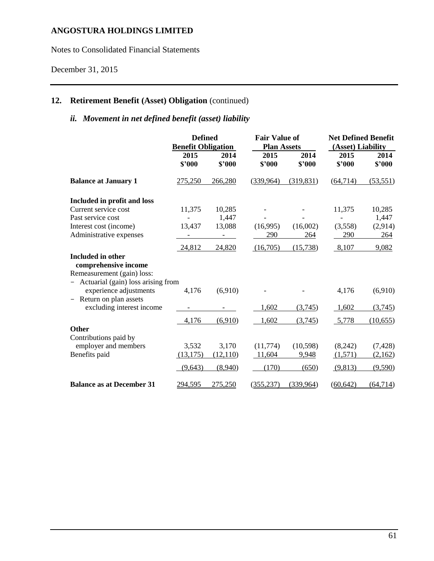Notes to Consolidated Financial Statements

December 31, 2015

## **12. Retirement Benefit (Asset) Obligation** (continued)

# *ii. Movement in net defined benefit (asset) liability*

|                                      | <b>Defined</b><br><b>Benefit Obligation</b> |                | <b>Fair Value of</b><br><b>Plan Assets</b> |                | <b>Net Defined Benefit</b><br>(Asset) Liability |                |
|--------------------------------------|---------------------------------------------|----------------|--------------------------------------------|----------------|-------------------------------------------------|----------------|
|                                      | 2015<br>\$2000                              | 2014<br>\$2000 | 2015<br>\$2000                             | 2014<br>\$2000 | 2015<br>\$'000                                  | 2014<br>\$2000 |
| <b>Balance at January 1</b>          | 275,250                                     | 266,280        | (339, 964)                                 | (319, 831)     | (64, 714)                                       | (53, 551)      |
| Included in profit and loss          |                                             |                |                                            |                |                                                 |                |
| Current service cost                 | 11,375                                      | 10,285         |                                            |                | 11,375                                          | 10,285         |
| Past service cost                    |                                             | 1,447          |                                            |                |                                                 | 1,447          |
| Interest cost (income)               | 13,437                                      | 13,088         | (16,995)                                   | (16,002)       | (3,558)                                         | (2,914)        |
| Administrative expenses              |                                             |                | 290                                        | 264            | 290                                             | 264            |
|                                      | 24,812                                      | 24,820         | (16,705)                                   | (15, 738)      | 8,107                                           | 9,082          |
| Included in other                    |                                             |                |                                            |                |                                                 |                |
| comprehensive income                 |                                             |                |                                            |                |                                                 |                |
| Remeasurement (gain) loss:           |                                             |                |                                            |                |                                                 |                |
| - Actuarial (gain) loss arising from |                                             |                |                                            |                |                                                 |                |
| experience adjustments               | 4,176                                       | (6,910)        |                                            |                | 4,176                                           | (6,910)        |
| Return on plan assets                |                                             |                |                                            |                |                                                 |                |
| excluding interest income            |                                             |                | 1,602                                      | (3,745)        | 1,602                                           | (3,745)        |
|                                      | 4,176                                       | (6,910)        | 1,602                                      | (3,745)        | 5,778                                           | (10,655)       |
| <b>Other</b>                         |                                             |                |                                            |                |                                                 |                |
| Contributions paid by                |                                             |                |                                            |                |                                                 |                |
| employer and members                 | 3,532                                       | 3,170          | (11,774)                                   | (10, 598)      | (8,242)                                         | (7, 428)       |
| Benefits paid                        | (13, 175)                                   | (12,110)       | 11,604                                     | 9,948          | (1,571)                                         | (2,162)        |
|                                      | (9,643)                                     | (8,940)        | (170)                                      | (650)          | (9,813)                                         | (9,590)        |
| <b>Balance as at December 31</b>     | 294,595                                     | 275,250        | (355, 237)                                 | (339,964)      | (60, 642)                                       | (64, 714)      |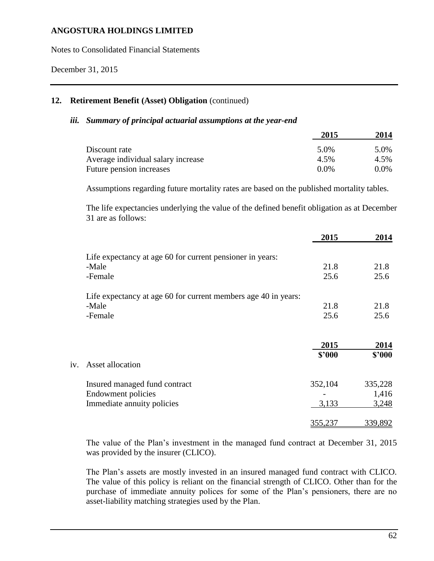Notes to Consolidated Financial Statements

December 31, 2015

 $iv.$ 

## **12. Retirement Benefit (Asset) Obligation** (continued)

#### *iii. Summary of principal actuarial assumptions at the year-end*

|                                    | 2015    | 2014    |
|------------------------------------|---------|---------|
| Discount rate                      | 5.0%    | 5.0%    |
| Average individual salary increase | 4.5%    | 4.5%    |
| Future pension increases           | $0.0\%$ | $0.0\%$ |

Assumptions regarding future mortality rates are based on the published mortality tables.

The life expectancies underlying the value of the defined benefit obligation as at December 31 are as follows:

|                                                                | 2015    | 2014    |
|----------------------------------------------------------------|---------|---------|
| Life expectancy at age 60 for current pensioner in years:      |         |         |
| -Male                                                          | 21.8    | 21.8    |
| -Female                                                        | 25.6    | 25.6    |
| Life expectancy at age 60 for current members age 40 in years: |         |         |
| -Male                                                          | 21.8    | 21.8    |
| -Female                                                        | 25.6    | 25.6    |
|                                                                | 2015    | 2014    |
|                                                                | \$2000  | \$3000  |
| Asset allocation                                               |         |         |
| Insured managed fund contract                                  | 352,104 | 335,228 |
| Endowment policies                                             |         | 1,416   |
| Immediate annuity policies                                     | 3,133   | 3,248   |
|                                                                | 355,237 | 339,892 |

The value of the Plan's investment in the managed fund contract at December 31, 2015 was provided by the insurer (CLICO).

The Plan's assets are mostly invested in an insured managed fund contract with CLICO. The value of this policy is reliant on the financial strength of CLICO. Other than for the purchase of immediate annuity polices for some of the Plan's pensioners, there are no asset-liability matching strategies used by the Plan.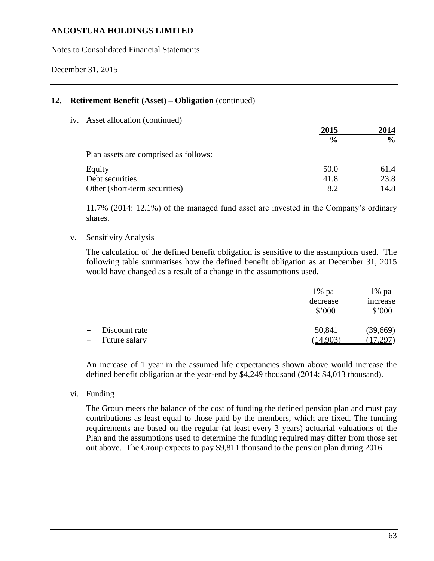Notes to Consolidated Financial Statements

December 31, 2015

#### **12. Retirement Benefit (Asset) – Obligation** (continued)

iv. Asset allocation (continued)

|                                       | 2015          | 2014           |
|---------------------------------------|---------------|----------------|
|                                       | $\frac{6}{9}$ | $\frac{6}{10}$ |
| Plan assets are comprised as follows: |               |                |
| Equity                                | 50.0          | 61.4           |
| Debt securities                       | 41.8          | 23.8           |
| Other (short-term securities)         |               | 14.8           |

11.7% (2014: 12.1%) of the managed fund asset are invested in the Company's ordinary shares.

v. Sensitivity Analysis

The calculation of the defined benefit obligation is sensitive to the assumptions used. The following table summarises how the defined benefit obligation as at December 31, 2015 would have changed as a result of a change in the assumptions used.

|          |               | $1\%$ pa        | $1\%$ pa       |
|----------|---------------|-----------------|----------------|
|          |               | decrease        | increase       |
|          |               | $$^{\prime}000$ | $$^{\circ}000$ |
|          | Discount rate | 50,841          | (39,669)       |
| $\equiv$ | Future salary | (14,903)        | 7,297          |

An increase of 1 year in the assumed life expectancies shown above would increase the defined benefit obligation at the year-end by \$4,249 thousand (2014: \$4,013 thousand).

vi. Funding

The Group meets the balance of the cost of funding the defined pension plan and must pay contributions as least equal to those paid by the members, which are fixed. The funding requirements are based on the regular (at least every 3 years) actuarial valuations of the Plan and the assumptions used to determine the funding required may differ from those set out above. The Group expects to pay \$9,811 thousand to the pension plan during 2016.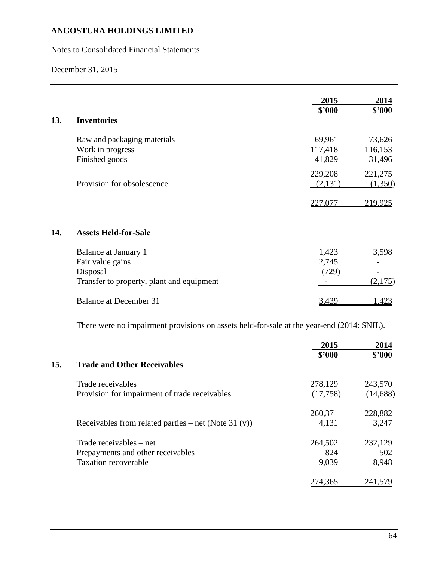Notes to Consolidated Financial Statements

December 31, 2015

|     |                                           | 2015    | 2014    |
|-----|-------------------------------------------|---------|---------|
|     |                                           | \$2000  | \$'000  |
| 13. | <b>Inventories</b>                        |         |         |
|     | Raw and packaging materials               | 69,961  | 73,626  |
|     | Work in progress                          | 117,418 | 116,153 |
|     | Finished goods                            | 41,829  | 31,496  |
|     |                                           | 229,208 | 221,275 |
|     | Provision for obsolescence                | (2,131) | (1,350) |
|     |                                           | 227,077 | 219,925 |
| 14. | <b>Assets Held-for-Sale</b>               |         |         |
|     | <b>Balance at January 1</b>               | 1,423   | 3,598   |
|     | Fair value gains                          | 2,745   |         |
|     | Disposal                                  | (729)   |         |
|     | Transfer to property, plant and equipment |         | (2,175) |
|     | <b>Balance at December 31</b>             | 3,439   | 1,423   |

There were no impairment provisions on assets held-for-sale at the year-end (2014: \$NIL).

|     |                                                         | 2015     | 2014      |
|-----|---------------------------------------------------------|----------|-----------|
|     |                                                         | \$2000   | \$2000    |
| 15. | <b>Trade and Other Receivables</b>                      |          |           |
|     | Trade receivables                                       | 278,129  | 243,570   |
|     | Provision for impairment of trade receivables           | (17,758) | (14, 688) |
|     |                                                         | 260,371  | 228,882   |
|     | Receivables from related parties – net (Note 31 $(v)$ ) | 4,131    | 3,247     |
|     | Trade receivables – net                                 | 264,502  | 232,129   |
|     | Prepayments and other receivables                       | 824      | 502       |
|     | <b>Taxation recoverable</b>                             | 9,039    | 8,948     |
|     |                                                         | 274,365  | 241,579   |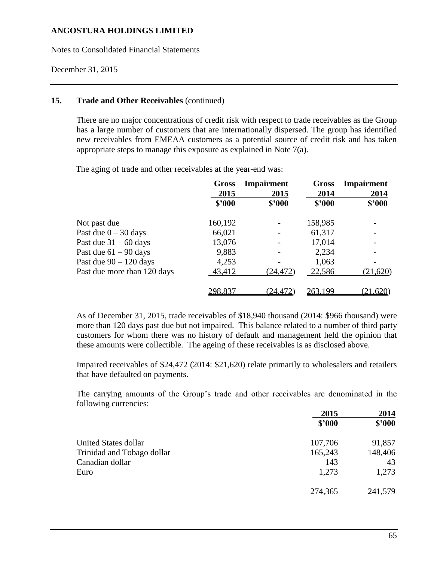Notes to Consolidated Financial Statements

December 31, 2015

#### **15. Trade and Other Receivables** (continued)

There are no major concentrations of credit risk with respect to trade receivables as the Group has a large number of customers that are internationally dispersed. The group has identified new receivables from EMEAA customers as a potential source of credit risk and has taken appropriate steps to manage this exposure as explained in Note 7(a).

The aging of trade and other receivables at the year-end was:

|                             | Gross<br>2015 | <b>Impairment</b><br>2015 | <b>Gross</b><br>2014 | <b>Impairment</b><br>2014 |
|-----------------------------|---------------|---------------------------|----------------------|---------------------------|
|                             | \$2000        | \$2000                    | \$2000               | \$2000                    |
| Not past due                | 160,192       |                           | 158,985              |                           |
| Past due $0 - 30$ days      | 66,021        |                           | 61,317               |                           |
| Past due $31 - 60$ days     | 13,076        |                           | 17,014               |                           |
| Past due $61 - 90$ days     | 9,883         |                           | 2,234                |                           |
| Past due $90 - 120$ days    | 4,253         |                           | 1,063                |                           |
| Past due more than 120 days | 43,412        | (24, 472)                 | 22,586               | (21,620)                  |
|                             | 298,837       | 24,472)                   | 263,199              | (21, 620)                 |

As of December 31, 2015, trade receivables of \$18,940 thousand (2014: \$966 thousand) were more than 120 days past due but not impaired. This balance related to a number of third party customers for whom there was no history of default and management held the opinion that these amounts were collectible. The ageing of these receivables is as disclosed above.

Impaired receivables of \$24,472 (2014: \$21,620) relate primarily to wholesalers and retailers that have defaulted on payments.

The carrying amounts of the Group's trade and other receivables are denominated in the following currencies:

|                             | 2015    | 2014    |
|-----------------------------|---------|---------|
|                             | \$2000  | \$2000  |
| <b>United States dollar</b> | 107,706 | 91,857  |
| Trinidad and Tobago dollar  | 165,243 | 148,406 |
| Canadian dollar             | 143     | 43      |
| Euro                        | 1,273   | 1,273   |
|                             | 274,365 | 241,579 |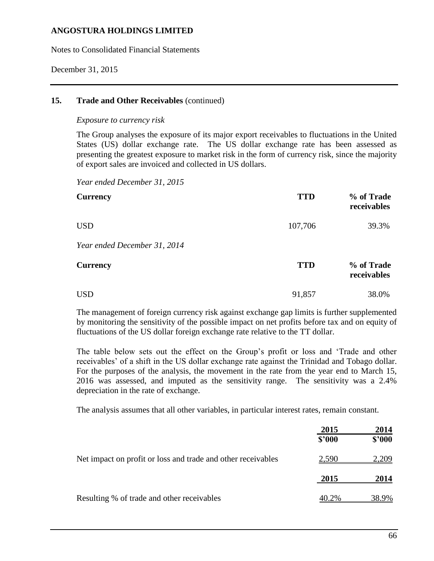Notes to Consolidated Financial Statements

December 31, 2015

#### **15. Trade and Other Receivables** (continued)

#### *Exposure to currency risk*

The Group analyses the exposure of its major export receivables to fluctuations in the United States (US) dollar exchange rate. The US dollar exchange rate has been assessed as presenting the greatest exposure to market risk in the form of currency risk, since the majority of export sales are invoiced and collected in US dollars.

*Year ended December 31, 2015*

| <b>Currency</b>              | <b>TTD</b> | % of Trade<br>receivables |
|------------------------------|------------|---------------------------|
| <b>USD</b>                   | 107,706    | 39.3%                     |
| Year ended December 31, 2014 |            |                           |
| <b>Currency</b>              | <b>TTD</b> | % of Trade<br>receivables |
| <b>USD</b>                   | 91,857     | 38.0%                     |

The management of foreign currency risk against exchange gap limits is further supplemented by monitoring the sensitivity of the possible impact on net profits before tax and on equity of fluctuations of the US dollar foreign exchange rate relative to the TT dollar.

The table below sets out the effect on the Group's profit or loss and 'Trade and other receivables' of a shift in the US dollar exchange rate against the Trinidad and Tobago dollar. For the purposes of the analysis, the movement in the rate from the year end to March 15, 2016 was assessed, and imputed as the sensitivity range. The sensitivity was a 2.4% depreciation in the rate of exchange.

The analysis assumes that all other variables, in particular interest rates, remain constant.

|                                                              | 2015<br>\$2000 | 2014<br>\$2000 |
|--------------------------------------------------------------|----------------|----------------|
| Net impact on profit or loss and trade and other receivables | 2,590          | 2,209          |
|                                                              | 2015           | 2014           |
| Resulting % of trade and other receivables                   | 40.2%          | 38.9%          |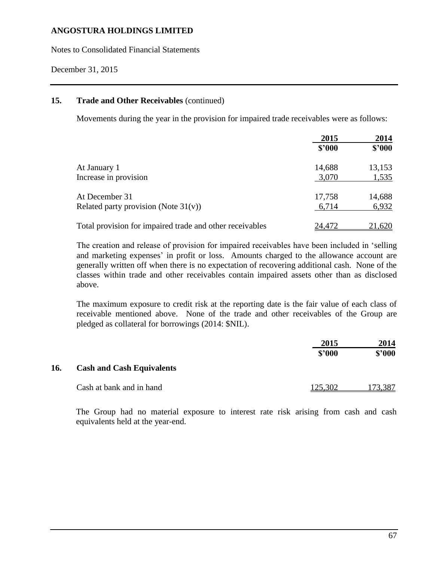Notes to Consolidated Financial Statements

December 31, 2015

## **15. Trade and Other Receivables** (continued)

Movements during the year in the provision for impaired trade receivables were as follows:

|                                                          | 2015   | 2014   |
|----------------------------------------------------------|--------|--------|
|                                                          | \$2000 | \$2000 |
| At January 1                                             | 14,688 | 13,153 |
| Increase in provision                                    | 3,070  | 1,535  |
| At December 31                                           | 17,758 | 14,688 |
| Related party provision (Note $31(v)$ )                  | 6,714  | 6,932  |
| Total provision for impaired trade and other receivables | 24,472 | 21,620 |

The creation and release of provision for impaired receivables have been included in 'selling and marketing expenses' in profit or loss. Amounts charged to the allowance account are generally written off when there is no expectation of recovering additional cash. None of the classes within trade and other receivables contain impaired assets other than as disclosed above.

The maximum exposure to credit risk at the reporting date is the fair value of each class of receivable mentioned above. None of the trade and other receivables of the Group are pledged as collateral for borrowings (2014: \$NIL).

|     |                                  | 2015    | 2014    |
|-----|----------------------------------|---------|---------|
|     |                                  | \$2000  | \$2000  |
| 16. | <b>Cash and Cash Equivalents</b> |         |         |
|     | Cash at bank and in hand         | 125,302 | 173,387 |

The Group had no material exposure to interest rate risk arising from cash and cash equivalents held at the year-end.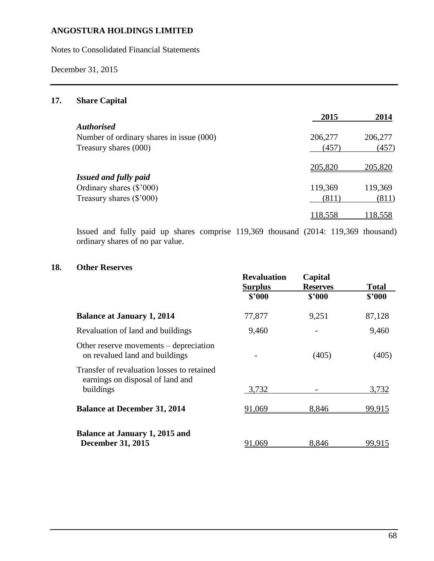Notes to Consolidated Financial Statements

December 31, 2015

## **17. Share Capital**

|                                          | 2015    | 2014    |
|------------------------------------------|---------|---------|
| <b>Authorised</b>                        |         |         |
| Number of ordinary shares in issue (000) | 206,277 | 206,277 |
| Treasury shares (000)                    | (457)   | (457)   |
|                                          | 205,820 | 205,820 |
| <b>Issued and fully paid</b>             |         |         |
| Ordinary shares (\$'000)                 | 119,369 | 119,369 |
| Treasury shares $(\$'000)$               | (811)   | (811)   |
|                                          | 118,558 | 118,558 |
|                                          |         |         |

Issued and fully paid up shares comprise 119,369 thousand (2014: 119,369 thousand) ordinary shares of no par value.

## **18. Other Reserves**

|                                                                                             | <b>Revaluation</b> | Capital         |              |
|---------------------------------------------------------------------------------------------|--------------------|-----------------|--------------|
|                                                                                             | <b>Surplus</b>     | <b>Reserves</b> | <b>Total</b> |
|                                                                                             | \$2000             | \$2000          | \$'000       |
| <b>Balance at January 1, 2014</b>                                                           | 77,877             | 9,251           | 87,128       |
| Revaluation of land and buildings                                                           | 9,460              |                 | 9,460        |
| Other reserve movements – depreciation<br>on revalued land and buildings                    |                    | (405)           | (405)        |
| Transfer of revaluation losses to retained<br>earnings on disposal of land and<br>buildings | 3,732              |                 | 3,732        |
| <b>Balance at December 31, 2014</b>                                                         | 91,069             | 8,846           | 99,915       |
| Balance at January 1, 2015 and<br><b>December 31, 2015</b>                                  | 91.069             | 8,846           | 99,915       |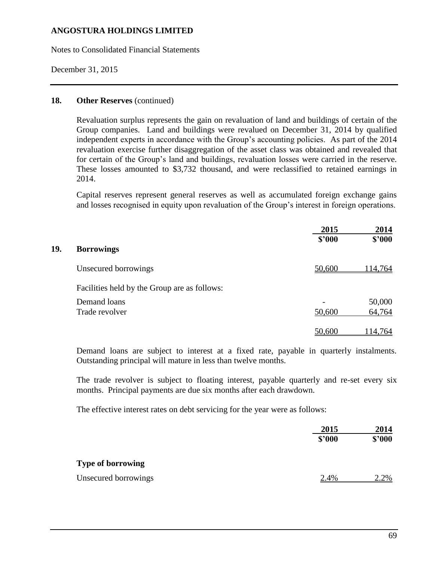Notes to Consolidated Financial Statements

December 31, 2015

#### **18. Other Reserves** (continued)

Revaluation surplus represents the gain on revaluation of land and buildings of certain of the Group companies. Land and buildings were revalued on December 31, 2014 by qualified independent experts in accordance with the Group's accounting policies. As part of the 2014 revaluation exercise further disaggregation of the asset class was obtained and revealed that for certain of the Group's land and buildings, revaluation losses were carried in the reserve. These losses amounted to \$3,732 thousand, and were reclassified to retained earnings in 2014.

Capital reserves represent general reserves as well as accumulated foreign exchange gains and losses recognised in equity upon revaluation of the Group's interest in foreign operations.

|     |                                              | 2015                     | 2014    |
|-----|----------------------------------------------|--------------------------|---------|
|     |                                              | \$2000                   | \$2000  |
| 19. | <b>Borrowings</b>                            |                          |         |
|     | Unsecured borrowings                         | 50,600                   | 114,764 |
|     | Facilities held by the Group are as follows: |                          |         |
|     | Demand loans                                 | $\overline{\phantom{0}}$ | 50,000  |
|     | Trade revolver                               | 50,600                   | 64,764  |
|     |                                              | 50,600                   | 114,764 |

Demand loans are subject to interest at a fixed rate, payable in quarterly instalments. Outstanding principal will mature in less than twelve months.

The trade revolver is subject to floating interest, payable quarterly and re-set every six months. Principal payments are due six months after each drawdown.

The effective interest rates on debt servicing for the year were as follows:

|                          | 2015   | 2014<br>\$2000 |
|--------------------------|--------|----------------|
|                          | \$2000 |                |
| <b>Type of borrowing</b> |        |                |
| Unsecured borrowings     | 2.4%   | 2.2%           |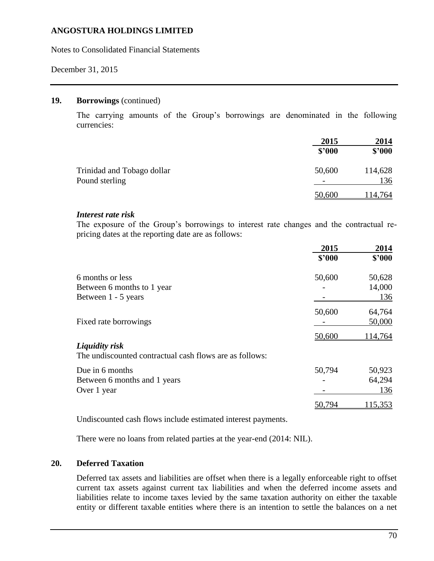Notes to Consolidated Financial Statements

December 31, 2015

#### **19. Borrowings** (continued)

The carrying amounts of the Group's borrowings are denominated in the following currencies:

|                            | 2015   | 2014    |
|----------------------------|--------|---------|
|                            | \$2000 | \$2000  |
| Trinidad and Tobago dollar | 50,600 | 114,628 |
| Pound sterling             |        | 136     |
|                            | 50,600 | 114,764 |

#### *Interest rate risk*

The exposure of the Group's borrowings to interest rate changes and the contractual repricing dates at the reporting date are as follows:

|                                                                           | 2015   | 2014           |
|---------------------------------------------------------------------------|--------|----------------|
|                                                                           | \$2000 | \$2000         |
| 6 months or less                                                          | 50,600 | 50,628         |
| Between 6 months to 1 year                                                |        | 14,000         |
| Between 1 - 5 years                                                       |        | 136            |
|                                                                           | 50,600 | 64,764         |
| Fixed rate borrowings                                                     |        | 50,000         |
|                                                                           | 50,600 | 114,764        |
| Liquidity risk<br>The undiscounted contractual cash flows are as follows: |        |                |
| Due in 6 months                                                           | 50,794 | 50,923         |
| Between 6 months and 1 years                                              |        | 64,294         |
| Over 1 year                                                               |        | 136            |
|                                                                           | 50.794 | <u>115,353</u> |

Undiscounted cash flows include estimated interest payments.

There were no loans from related parties at the year-end (2014: NIL).

#### **20. Deferred Taxation**

Deferred tax assets and liabilities are offset when there is a legally enforceable right to offset current tax assets against current tax liabilities and when the deferred income assets and liabilities relate to income taxes levied by the same taxation authority on either the taxable entity or different taxable entities where there is an intention to settle the balances on a net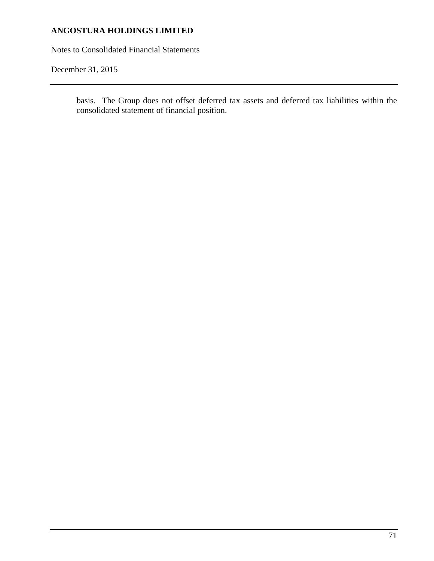Notes to Consolidated Financial Statements

December 31, 2015

basis. The Group does not offset deferred tax assets and deferred tax liabilities within the consolidated statement of financial position.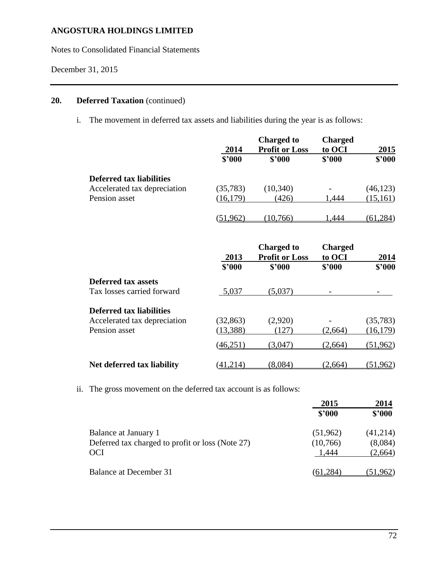Notes to Consolidated Financial Statements

December 31, 2015

# 20. **Deferred Taxation** (continued)

i. The movement in deferred tax assets and liabilities during the year is as follows:

|                                 | 2014      | <b>Charged</b> to<br><b>Profit or Loss</b> | <b>Charged</b><br>to OCI | 2015      |
|---------------------------------|-----------|--------------------------------------------|--------------------------|-----------|
|                                 | \$2000    | \$2000                                     | \$'000                   | \$2000    |
| <b>Deferred tax liabilities</b> |           |                                            |                          |           |
| Accelerated tax depreciation    | (35, 783) | (10, 340)                                  |                          | (46, 123) |
| Pension asset                   | (16, 179) | (426)                                      | 1,444                    | (15, 161) |
|                                 | (51, 962) | (10,766)                                   | 1,444                    | (61, 284) |
|                                 |           |                                            |                          |           |
|                                 |           | <b>Charged to</b>                          | <b>Charged</b>           |           |
|                                 | 2013      | <b>Profit or Loss</b>                      | to OCI                   | 2014      |
|                                 | \$2000    | \$2000                                     | \$2000                   | \$2000    |
| <b>Deferred tax assets</b>      |           |                                            |                          |           |
| Tax losses carried forward      | 5,037     | (5,037)                                    |                          |           |
| <b>Deferred tax liabilities</b> |           |                                            |                          |           |
| Accelerated tax depreciation    | (32, 863) | (2,920)                                    |                          | (35, 783) |
| Pension asset                   | (13, 388) | (127)                                      | (2,664)                  | (16, 179) |
|                                 | (46,251)  | (3,047)                                    | (2,664)                  | (51, 962) |
| Net deferred tax liability      | (41,214)  | (8,084)                                    | (2,664)                  | (51, 962) |

ii. The gross movement on the deferred tax account is as follows:

|                                                  | 2015     | 2014     |
|--------------------------------------------------|----------|----------|
|                                                  | \$2000   | \$2000   |
| Balance at January 1                             | (51,962) | (41,214) |
| Deferred tax charged to profit or loss (Note 27) | (10,766) | (8,084)  |
| <b>OCI</b>                                       | 1,444    | (2,664)  |
| Balance at December 31                           | (61.284) | (51,962) |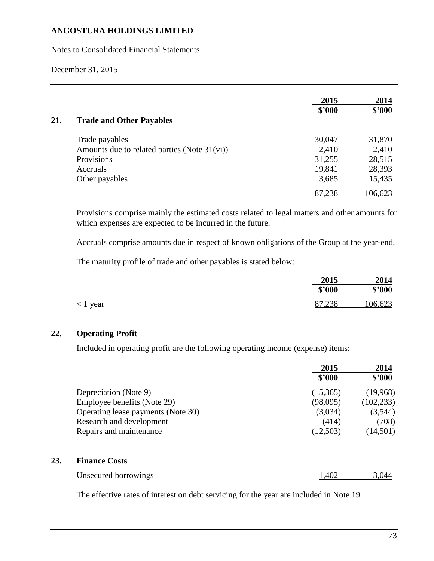Notes to Consolidated Financial Statements

December 31, 2015

|     |                                              | 2015   | 2014           |
|-----|----------------------------------------------|--------|----------------|
|     |                                              | \$2000 | \$2000         |
| 21. | <b>Trade and Other Payables</b>              |        |                |
|     | Trade payables                               | 30,047 | 31,870         |
|     | Amounts due to related parties (Note 31(vi)) | 2,410  | 2,410          |
|     | Provisions                                   | 31,255 | 28,515         |
|     | Accruals                                     | 19,841 | 28,393         |
|     | Other payables                               | 3,685  | 15,435         |
|     |                                              | 87,238 | <u>106,623</u> |

Provisions comprise mainly the estimated costs related to legal matters and other amounts for which expenses are expected to be incurred in the future.

Accruals comprise amounts due in respect of known obligations of the Group at the year-end.

The maturity profile of trade and other payables is stated below:

| 2015   | 2014    |
|--------|---------|
| \$2000 | \$2000  |
| 87,238 | 106,623 |

## **22. Operating Profit**

**23. Finance Costs** 

Included in operating profit are the following operating income (expense) items:

|                                    | 2015     | 2014       |
|------------------------------------|----------|------------|
|                                    | \$2000   | \$3000     |
| Depreciation (Note 9)              | (15,365) | (19,968)   |
| Employee benefits (Note 29)        | (98,095) | (102, 233) |
| Operating lease payments (Note 30) | (3,034)  | (3,544)    |
| Research and development           | (414)    | (708)      |
| Repairs and maintenance            | (12,503) | (14, 501)  |
| <b>Finance Costs</b>               |          |            |
| Unsecured borrowings               | 1,402    |            |

The effective rates of interest on debt servicing for the year are included in Note 19.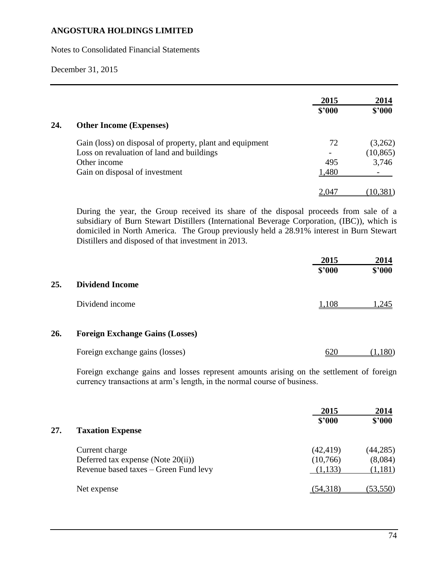Notes to Consolidated Financial Statements

December 31, 2015

|     |                                                          | 2015                     | 2014      |
|-----|----------------------------------------------------------|--------------------------|-----------|
|     |                                                          | \$2000                   | \$2000    |
| 24. | <b>Other Income (Expenses)</b>                           |                          |           |
|     | Gain (loss) on disposal of property, plant and equipment | 72                       | (3,262)   |
|     | Loss on revaluation of land and buildings                | $\overline{\phantom{a}}$ | (10, 865) |
|     | Other income                                             | 495                      | 3,746     |
|     | Gain on disposal of investment                           | 1,480                    |           |
|     |                                                          | 2.047                    | 10,381    |

During the year, the Group received its share of the disposal proceeds from sale of a subsidiary of Burn Stewart Distillers (International Beverage Corporation, (IBC)), which is domiciled in North America. The Group previously held a 28.91% interest in Burn Stewart Distillers and disposed of that investment in 2013.

|     |                                        | 2015   | 2014   |
|-----|----------------------------------------|--------|--------|
|     |                                        | \$2000 | \$2000 |
| 25. | <b>Dividend Income</b>                 |        |        |
|     | Dividend income                        | 1,108  | 1,245  |
| 26. | <b>Foreign Exchange Gains (Losses)</b> |        |        |

| Foreign exchange gains (losses) |  | (1,180) |
|---------------------------------|--|---------|
|---------------------------------|--|---------|

Foreign exchange gains and losses represent amounts arising on the settlement of foreign currency transactions at arm's length, in the normal course of business.

|                                       | 2015      | 2014      |
|---------------------------------------|-----------|-----------|
|                                       | \$2000    | \$2000    |
| <b>Taxation Expense</b>               |           |           |
| Current charge                        | (42, 419) | (44, 285) |
| Deferred tax expense (Note $20(ii)$ ) | (10,766)  | (8,084)   |
| Revenue based taxes - Green Fund levy | (1, 133)  | (1,181)   |
| Net expense                           | (54,318)  | (53, 550) |
|                                       |           |           |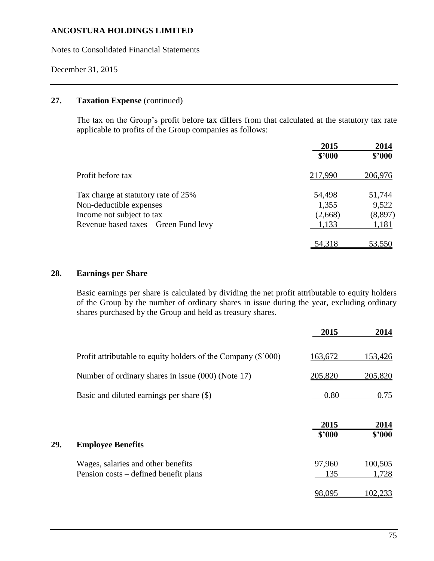Notes to Consolidated Financial Statements

December 31, 2015

## **27. Taxation Expense** (continued)

The tax on the Group's profit before tax differs from that calculated at the statutory tax rate applicable to profits of the Group companies as follows:

|                                       | 2015    | 2014    |
|---------------------------------------|---------|---------|
|                                       | \$2000  | \$2000  |
| Profit before tax                     | 217,990 | 206,976 |
| Tax charge at statutory rate of 25%   | 54,498  | 51,744  |
| Non-deductible expenses               | 1,355   | 9,522   |
| Income not subject to tax             | (2,668) | (8,897) |
| Revenue based taxes - Green Fund levy | 1,133   | 1,181   |
|                                       | 54,318  | 53,550  |

## **28. Earnings per Share**

Basic earnings per share is calculated by dividing the net profit attributable to equity holders of the Group by the number of ordinary shares in issue during the year, excluding ordinary shares purchased by the Group and held as treasury shares.

|     |                                                               | 2015    | 2014    |
|-----|---------------------------------------------------------------|---------|---------|
|     | Profit attributable to equity holders of the Company (\$'000) | 163,672 | 153,426 |
|     | Number of ordinary shares in issue (000) (Note 17)            | 205,820 | 205,820 |
|     | Basic and diluted earnings per share (\$)                     | 0.80    | 0.75    |
|     |                                                               | 2015    | 2014    |
| 29. | <b>Employee Benefits</b>                                      | \$2000  | \$3000  |
|     | Wages, salaries and other benefits                            | 97,960  | 100,505 |
|     | Pension costs – defined benefit plans                         | 135     | 1,728   |
|     |                                                               | 98,095  | 102,233 |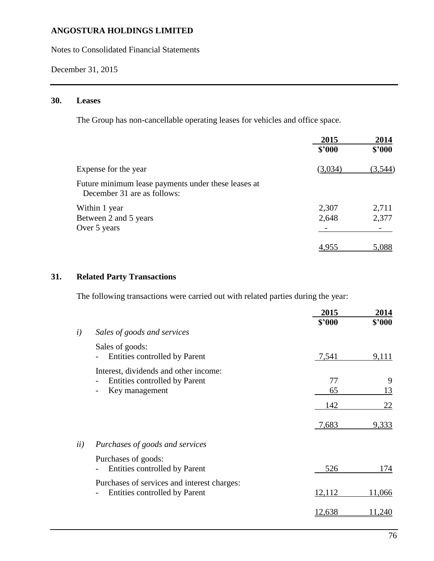Notes to Consolidated Financial Statements

December 31, 2015

## **30. Leases**

The Group has non-cancellable operating leases for vehicles and office space.

|                                                                                    | 2015    | 2014    |
|------------------------------------------------------------------------------------|---------|---------|
|                                                                                    | \$'000  | \$2000  |
| Expense for the year                                                               | (3,034) | (3,544) |
| Future minimum lease payments under these leases at<br>December 31 are as follows: |         |         |
| Within 1 year                                                                      | 2,307   | 2,711   |
| Between 2 and 5 years                                                              | 2,648   | 2,377   |
| Over 5 years                                                                       |         |         |
|                                                                                    | 4,955   | 5,088   |

# **31. Related Party Transactions**

The following transactions were carried out with related parties during the year:

|                  |                                             | 2015   | 2014         |
|------------------|---------------------------------------------|--------|--------------|
|                  |                                             | \$2000 | \$'000       |
| $\left(i\right)$ | Sales of goods and services                 |        |              |
|                  | Sales of goods:                             |        |              |
|                  | <b>Entities controlled by Parent</b>        | 7,541  | 9,111        |
|                  | Interest, dividends and other income:       |        |              |
|                  | <b>Entities controlled by Parent</b>        | 77     | 9            |
|                  | Key management                              | 65     | 13           |
|                  |                                             | 142    | 22           |
|                  |                                             | 7,683  | <u>9,333</u> |
| ii)              | Purchases of goods and services             |        |              |
|                  | Purchases of goods:                         |        |              |
|                  | <b>Entities controlled by Parent</b>        | 526    | 174          |
|                  | Purchases of services and interest charges: |        |              |
|                  | <b>Entities controlled by Parent</b>        | 12,112 | 11,066       |
|                  |                                             | 2,638  | ,240         |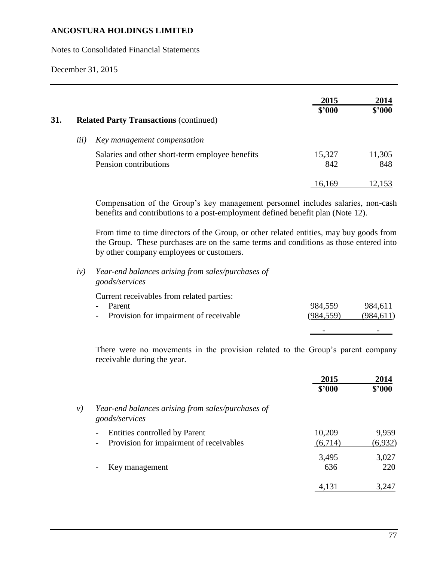Notes to Consolidated Financial Statements

December 31, 2015

|     |      |                                                 | 2015   | 2014   |
|-----|------|-------------------------------------------------|--------|--------|
|     |      |                                                 | \$2000 | \$2000 |
| 31. |      | <b>Related Party Transactions (continued)</b>   |        |        |
|     | iii) | Key management compensation                     |        |        |
|     |      | Salaries and other short-term employee benefits | 15,327 | 11,305 |
|     |      | Pension contributions                           | 842    | 848    |
|     |      |                                                 | 16.169 | 12.153 |

Compensation of the Group's key management personnel includes salaries, non-cash benefits and contributions to a post-employment defined benefit plan (Note 12).

From time to time directors of the Group, or other related entities, may buy goods from the Group. These purchases are on the same terms and conditions as those entered into by other company employees or customers.

#### *iv) Year-end balances arising from sales/purchases of goods/services*

Current receivables from related parties:

|                                          | $\overline{\phantom{0}}$ | $\overline{\phantom{0}}$ |
|------------------------------------------|--------------------------|--------------------------|
| - Provision for impairment of receivable | (984, 559)               | (984, 611)               |
| - Parent                                 | 984.559                  | 984,611                  |

There were no movements in the provision related to the Group's parent company receivable during the year.

|                                                                     | 2015                                                                                                                  | 2014             |
|---------------------------------------------------------------------|-----------------------------------------------------------------------------------------------------------------------|------------------|
|                                                                     | \$2000                                                                                                                | \$2000           |
| Year-end balances arising from sales/purchases of<br>goods/services |                                                                                                                       |                  |
| <b>Entities controlled by Parent</b><br>$\overline{\phantom{a}}$    | 10,209                                                                                                                | 9,959<br>(6,932) |
|                                                                     | 3,495                                                                                                                 | 3,027<br>220     |
|                                                                     |                                                                                                                       | 3.24             |
|                                                                     | Provision for impairment of receivables<br>$\qquad \qquad \blacksquare$<br>Key management<br>$\overline{\phantom{a}}$ | (6,714)<br>636   |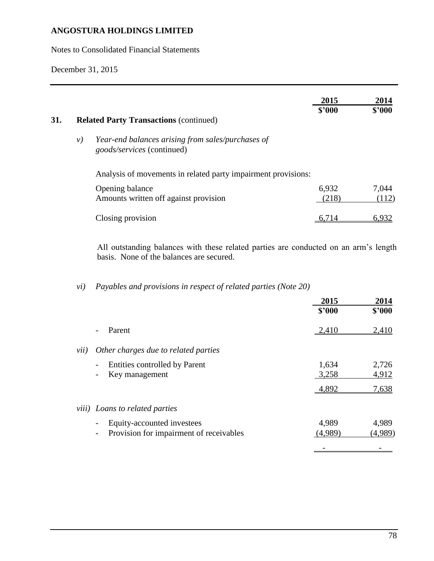Notes to Consolidated Financial Statements

December 31, 2015

|     |       |                                                                                        | 2015           | 2014           |
|-----|-------|----------------------------------------------------------------------------------------|----------------|----------------|
|     |       |                                                                                        | \$2000         | \$2000         |
| 31. |       | <b>Related Party Transactions (continued)</b>                                          |                |                |
|     | $\nu$ | Year-end balances arising from sales/purchases of<br><i>goods/services</i> (continued) |                |                |
|     |       | Analysis of movements in related party impairment provisions:                          |                |                |
|     |       | Opening balance<br>Amounts written off against provision                               | 6,932<br>(218) | 7,044<br>(112) |
|     |       | Closing provision                                                                      | 6.714          | 6,932          |

All outstanding balances with these related parties are conducted on an arm's length basis. None of the balances are secured.

*vi) Payables and provisions in respect of related parties (Note 20)*

|                                         | 2015     | 2014    |
|-----------------------------------------|----------|---------|
|                                         | \$2000   | \$2000  |
|                                         | $-2,410$ | 2,410   |
| Other charges due to related parties    |          |         |
|                                         | 1,634    | 2,726   |
|                                         | 3,258    | 4,912   |
|                                         | $-4,892$ | 7,638   |
|                                         |          |         |
|                                         | 4,989    | 4,989   |
| Provision for impairment of receivables | (4,989)  | (4,989) |
|                                         |          |         |
|                                         |          |         |